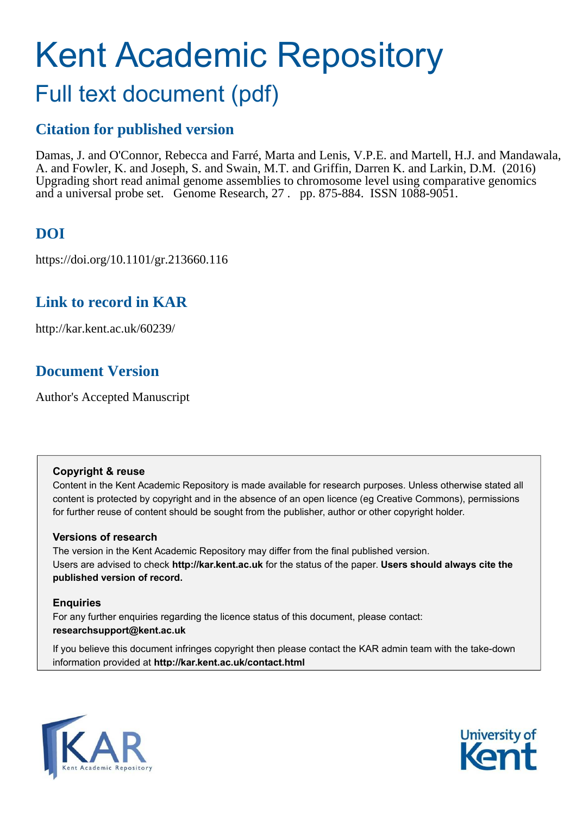# Kent Academic Repository Full text document (pdf)

### **Citation for published version**

Damas, J. and O'Connor, Rebecca and Farré, Marta and Lenis, V.P.E. and Martell, H.J. and Mandawala, A. and Fowler, K. and Joseph, S. and Swain, M.T. and Griffin, Darren K. and Larkin, D.M. (2016) Upgrading short read animal genome assemblies to chromosome level using comparative genomics and a universal probe set. Genome Research, 27 . pp. 875-884. ISSN 1088-9051.

### **DOI**

https://doi.org/10.1101/gr.213660.116

### **Link to record in KAR**

http://kar.kent.ac.uk/60239/

### **Document Version**

Author's Accepted Manuscript

### **Copyright & reuse**

Content in the Kent Academic Repository is made available for research purposes. Unless otherwise stated all content is protected by copyright and in the absence of an open licence (eg Creative Commons), permissions for further reuse of content should be sought from the publisher, author or other copyright holder.

### **Versions of research**

The version in the Kent Academic Repository may differ from the final published version. Users are advised to check **http://kar.kent.ac.uk** for the status of the paper. **Users should always cite the published version of record.**

### **Enquiries**

For any further enquiries regarding the licence status of this document, please contact: **researchsupport@kent.ac.uk**

If you believe this document infringes copyright then please contact the KAR admin team with the take-down information provided at **http://kar.kent.ac.uk/contact.html**



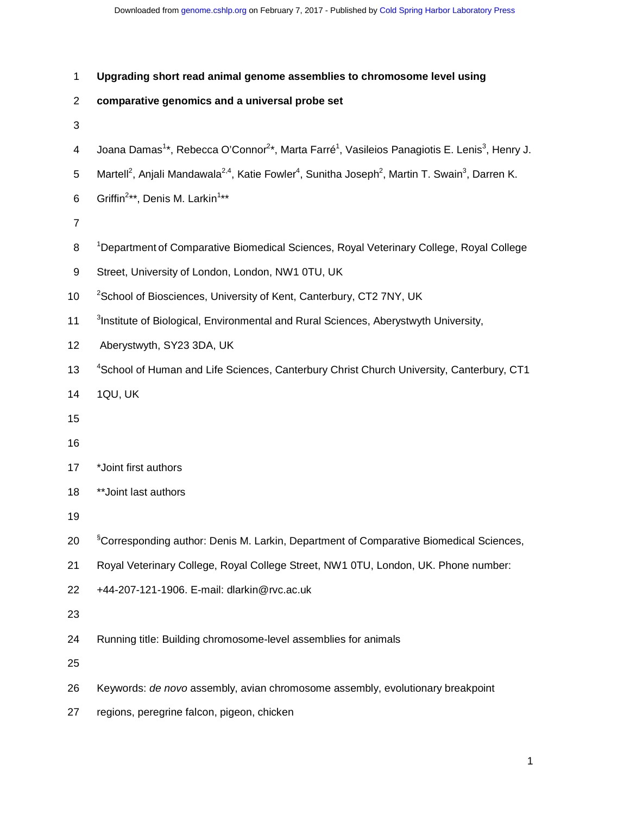| $\mathbf{1}$   | Upgrading short read animal genome assemblies to chromosome level using                                                                                     |
|----------------|-------------------------------------------------------------------------------------------------------------------------------------------------------------|
| $\overline{c}$ | comparative genomics and a universal probe set                                                                                                              |
| 3              |                                                                                                                                                             |
| 4              | Joana Damas <sup>1*</sup> , Rebecca O'Connor <sup>2*</sup> , Marta Farré <sup>1</sup> , Vasileios Panagiotis E. Lenis <sup>3</sup> , Henry J.               |
| 5              | Martell <sup>2</sup> , Anjali Mandawala <sup>2,4</sup> , Katie Fowler <sup>4</sup> , Sunitha Joseph <sup>2</sup> , Martin T. Swain <sup>3</sup> , Darren K. |
| 6              | Griffin <sup>2**</sup> , Denis M. Larkin <sup>1**</sup>                                                                                                     |
| 7              |                                                                                                                                                             |
| 8              | <sup>1</sup> Department of Comparative Biomedical Sciences, Royal Veterinary College, Royal College                                                         |
| 9              | Street, University of London, London, NW1 0TU, UK                                                                                                           |
| 10             | <sup>2</sup> School of Biosciences, University of Kent, Canterbury, CT2 7NY, UK                                                                             |
| 11             | <sup>3</sup> Institute of Biological, Environmental and Rural Sciences, Aberystwyth University,                                                             |
| 12             | Aberystwyth, SY23 3DA, UK                                                                                                                                   |
| 13             | <sup>4</sup> School of Human and Life Sciences, Canterbury Christ Church University, Canterbury, CT1                                                        |
| 14             | 1QU, UK                                                                                                                                                     |
| 15             |                                                                                                                                                             |
| 16             |                                                                                                                                                             |
| 17             | *Joint first authors                                                                                                                                        |
| 18             | **Joint last authors                                                                                                                                        |
| 19             |                                                                                                                                                             |
| 20             | <sup>§</sup> Corresponding author: Denis M. Larkin, Department of Comparative Biomedical Sciences,                                                          |
| 21             | Royal Veterinary College, Royal College Street, NW1 0TU, London, UK. Phone number:                                                                          |
| 22             | +44-207-121-1906. E-mail: dlarkin@rvc.ac.uk                                                                                                                 |
| 23             |                                                                                                                                                             |
| 24             | Running title: Building chromosome-level assemblies for animals                                                                                             |
| 25             |                                                                                                                                                             |
| 26             | Keywords: de novo assembly, avian chromosome assembly, evolutionary breakpoint                                                                              |
| 27             | regions, peregrine falcon, pigeon, chicken                                                                                                                  |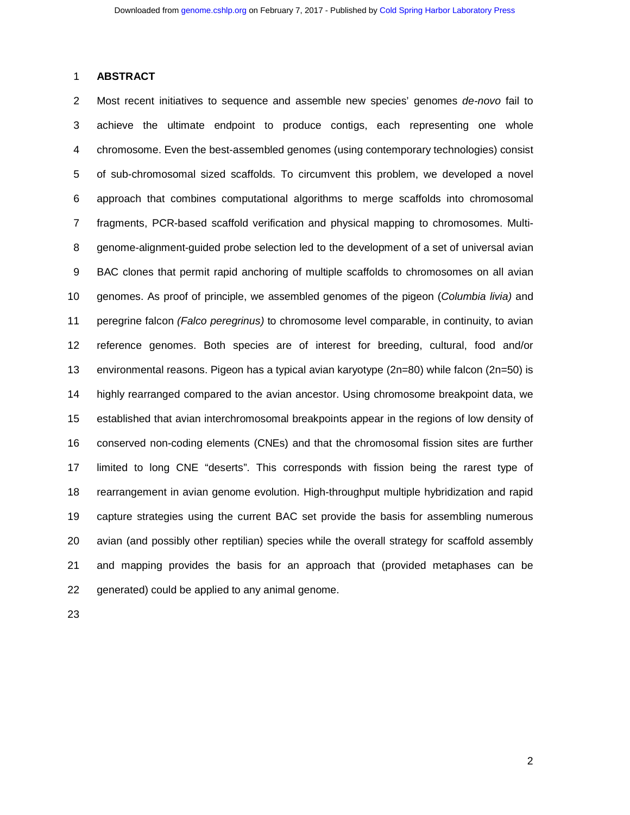### 1 **ABSTRACT**

2 Most recent initiatives to sequence and assemble new species' genomes *de-novo* fail to 3 achieve the ultimate endpoint to produce contigs, each representing one whole 4 chromosome. Even the best-assembled genomes (using contemporary technologies) consist 5 of sub-chromosomal sized scaffolds. To circumvent this problem, we developed a novel 6 approach that combines computational algorithms to merge scaffolds into chromosomal 7 fragments, PCR-based scaffold verification and physical mapping to chromosomes. Multi-8 genome-alignment-guided probe selection led to the development of a set of universal avian 9 BAC clones that permit rapid anchoring of multiple scaffolds to chromosomes on all avian 10 genomes. As proof of principle, we assembled genomes of the pigeon (Columbia livia) and 11 peregrine falcon (Falco peregrinus) to chromosome level comparable, in continuity, to avian 12 reference genomes. Both species are of interest for breeding, cultural, food and/or 13 environmental reasons. Pigeon has a typical avian karyotype (2n=80) while falcon (2n=50) is 14 highly rearranged compared to the avian ancestor. Using chromosome breakpoint data, we 15 established that avian interchromosomal breakpoints appear in the regions of low density of 16 conserved non-coding elements (CNEs) and that the chromosomal fission sites are further 17 limited to long CNE "deserts". This corresponds with fission being the rarest type of 18 rearrangement in avian genome evolution. High-throughput multiple hybridization and rapid 19 capture strategies using the current BAC set provide the basis for assembling numerous 20 avian (and possibly other reptilian) species while the overall strategy for scaffold assembly 21 and mapping provides the basis for an approach that (provided metaphases can be 22 generated) could be applied to any animal genome.

23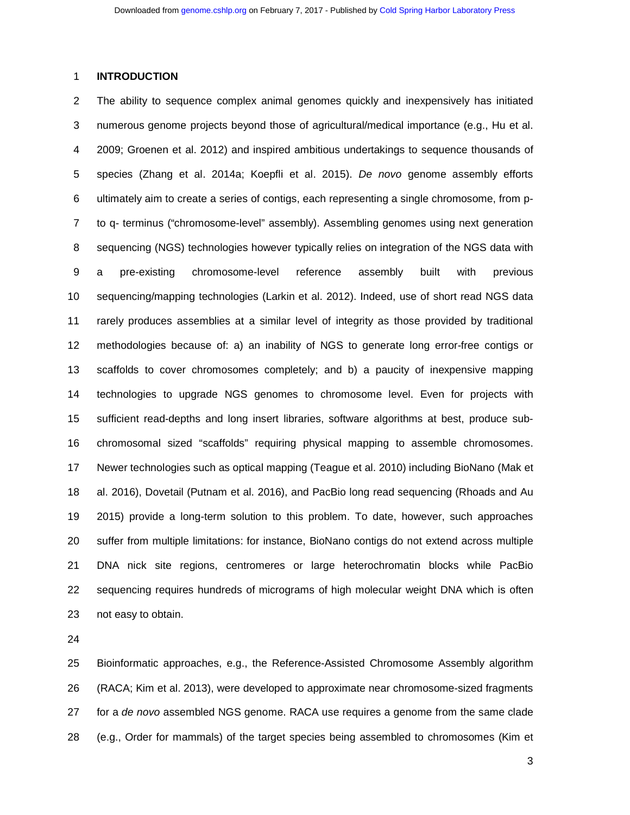### 1 **INTRODUCTION**

2 The ability to sequence complex animal genomes quickly and inexpensively has initiated 3 numerous genome projects beyond those of agricultural/medical importance (e.g., Hu et al. 4 2009; Groenen et al. 2012) and inspired ambitious undertakings to sequence thousands of 5 species (Zhang et al. 2014a; Koepfli et al. 2015). De novo genome assembly efforts 6 ultimately aim to create a series of contigs, each representing a single chromosome, from p-7 to q- terminus ("chromosome-level" assembly). Assembling genomes using next generation 8 sequencing (NGS) technologies however typically relies on integration of the NGS data with 9 a pre-existing chromosome-level reference assembly built with previous 10 sequencing/mapping technologies (Larkin et al. 2012). Indeed, use of short read NGS data 11 rarely produces assemblies at a similar level of integrity as those provided by traditional 12 methodologies because of: a) an inability of NGS to generate long error-free contigs or 13 scaffolds to cover chromosomes completely; and b) a paucity of inexpensive mapping 14 technologies to upgrade NGS genomes to chromosome level. Even for projects with 15 sufficient read-depths and long insert libraries, software algorithms at best, produce sub-16 chromosomal sized "scaffolds" requiring physical mapping to assemble chromosomes. 17 Newer technologies such as optical mapping (Teague et al. 2010) including BioNano (Mak et 18 al. 2016), Dovetail (Putnam et al. 2016), and PacBio long read sequencing (Rhoads and Au 19 2015) provide a long-term solution to this problem. To date, however, such approaches 20 suffer from multiple limitations: for instance, BioNano contigs do not extend across multiple 21 DNA nick site regions, centromeres or large heterochromatin blocks while PacBio 22 sequencing requires hundreds of micrograms of high molecular weight DNA which is often 23 not easy to obtain.

24

25 Bioinformatic approaches, e.g., the Reference-Assisted Chromosome Assembly algorithm 26 (RACA; Kim et al. 2013), were developed to approximate near chromosome-sized fragments 27 for a de novo assembled NGS genome. RACA use requires a genome from the same clade 28 (e.g., Order for mammals) of the target species being assembled to chromosomes (Kim et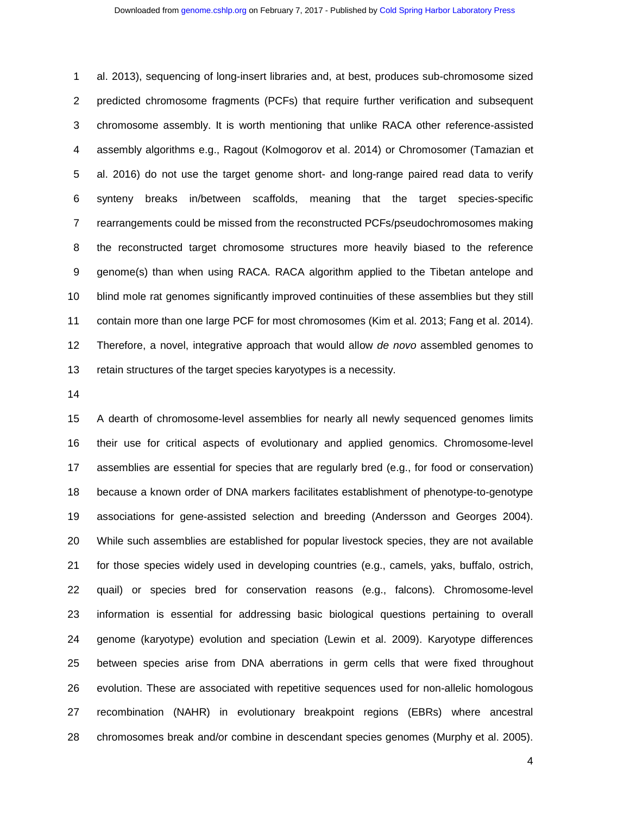1 al. 2013), sequencing of long-insert libraries and, at best, produces sub-chromosome sized 2 predicted chromosome fragments (PCFs) that require further verification and subsequent 3 chromosome assembly. It is worth mentioning that unlike RACA other reference-assisted 4 assembly algorithms e.g., Ragout (Kolmogorov et al. 2014) or Chromosomer (Tamazian et 5 al. 2016) do not use the target genome short- and long-range paired read data to verify 6 synteny breaks in/between scaffolds, meaning that the target species-specific 7 rearrangements could be missed from the reconstructed PCFs/pseudochromosomes making 8 the reconstructed target chromosome structures more heavily biased to the reference 9 genome(s) than when using RACA. RACA algorithm applied to the Tibetan antelope and 10 blind mole rat genomes significantly improved continuities of these assemblies but they still 11 contain more than one large PCF for most chromosomes (Kim et al. 2013; Fang et al. 2014). 12 Therefore, a novel, integrative approach that would allow de novo assembled genomes to 13 retain structures of the target species karyotypes is a necessity.

14

15 A dearth of chromosome-level assemblies for nearly all newly sequenced genomes limits 16 their use for critical aspects of evolutionary and applied genomics. Chromosome-level 17 assemblies are essential for species that are regularly bred (e.g., for food or conservation) 18 because a known order of DNA markers facilitates establishment of phenotype-to-genotype 19 associations for gene-assisted selection and breeding (Andersson and Georges 2004). 20 While such assemblies are established for popular livestock species, they are not available 21 for those species widely used in developing countries (e.g., camels, yaks, buffalo, ostrich, 22 quail) or species bred for conservation reasons (e.g., falcons). Chromosome-level 23 information is essential for addressing basic biological questions pertaining to overall 24 genome (karyotype) evolution and speciation (Lewin et al. 2009). Karyotype differences 25 between species arise from DNA aberrations in germ cells that were fixed throughout 26 evolution. These are associated with repetitive sequences used for non-allelic homologous 27 recombination (NAHR) in evolutionary breakpoint regions (EBRs) where ancestral 28 chromosomes break and/or combine in descendant species genomes (Murphy et al. 2005).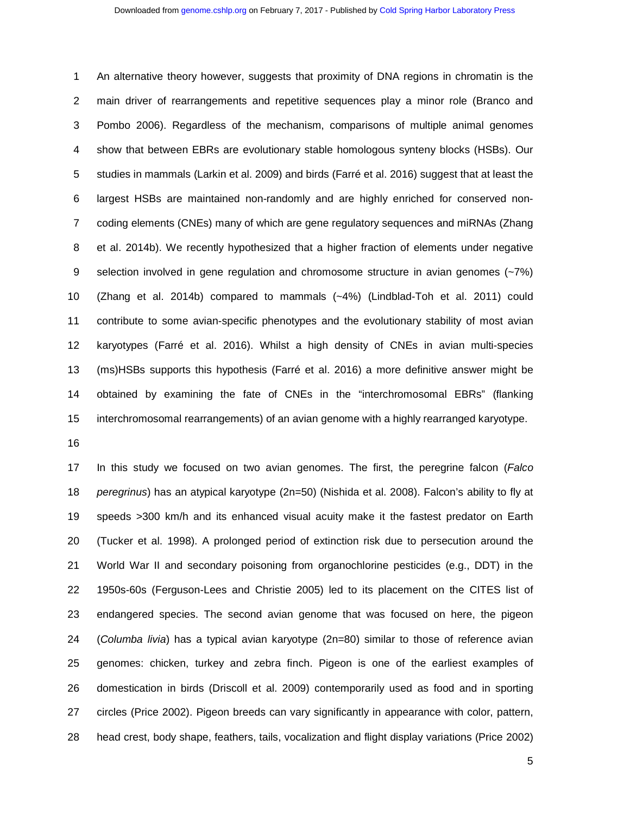1 An alternative theory however, suggests that proximity of DNA regions in chromatin is the 2 main driver of rearrangements and repetitive sequences play a minor role (Branco and 3 Pombo 2006). Regardless of the mechanism, comparisons of multiple animal genomes 4 show that between EBRs are evolutionary stable homologous synteny blocks (HSBs). Our 5 studies in mammals (Larkin et al. 2009) and birds (Farré et al. 2016) suggest that at least the 6 largest HSBs are maintained non-randomly and are highly enriched for conserved non-7 coding elements (CNEs) many of which are gene regulatory sequences and miRNAs (Zhang 8 et al. 2014b). We recently hypothesized that a higher fraction of elements under negative 9 selection involved in gene regulation and chromosome structure in avian genomes (~7%) 10 (Zhang et al. 2014b) compared to mammals (~4%) (Lindblad-Toh et al. 2011) could 11 contribute to some avian-specific phenotypes and the evolutionary stability of most avian 12 karyotypes (Farré et al. 2016). Whilst a high density of CNEs in avian multi-species 13 (ms)HSBs supports this hypothesis (Farré et al. 2016) a more definitive answer might be 14 obtained by examining the fate of CNEs in the "interchromosomal EBRs" (flanking 15 interchromosomal rearrangements) of an avian genome with a highly rearranged karyotype. 16

17 In this study we focused on two avian genomes. The first, the peregrine falcon (Falco 18 peregrinus) has an atypical karyotype (2n=50) (Nishida et al. 2008). Falcon's ability to fly at 19 speeds >300 km/h and its enhanced visual acuity make it the fastest predator on Earth 20 (Tucker et al. 1998). A prolonged period of extinction risk due to persecution around the 21 World War II and secondary poisoning from organochlorine pesticides (e.g., DDT) in the 22 1950s-60s (Ferguson-Lees and Christie 2005) led to its placement on the CITES list of 23 endangered species. The second avian genome that was focused on here, the pigeon 24 (Columba livia) has a typical avian karyotype (2n=80) similar to those of reference avian 25 genomes: chicken, turkey and zebra finch. Pigeon is one of the earliest examples of 26 domestication in birds (Driscoll et al. 2009) contemporarily used as food and in sporting 27 circles (Price 2002). Pigeon breeds can vary significantly in appearance with color, pattern, 28 head crest, body shape, feathers, tails, vocalization and flight display variations (Price 2002)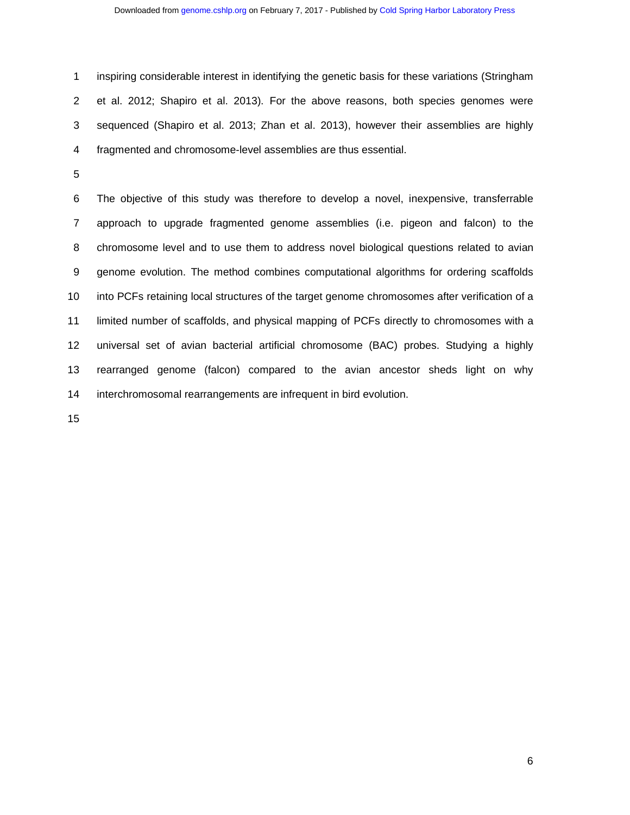1 inspiring considerable interest in identifying the genetic basis for these variations (Stringham 2 et al. 2012; Shapiro et al. 2013). For the above reasons, both species genomes were 3 sequenced (Shapiro et al. 2013; Zhan et al. 2013), however their assemblies are highly 4 fragmented and chromosome-level assemblies are thus essential.

5

6 The objective of this study was therefore to develop a novel, inexpensive, transferrable 7 approach to upgrade fragmented genome assemblies (i.e. pigeon and falcon) to the 8 chromosome level and to use them to address novel biological questions related to avian 9 genome evolution. The method combines computational algorithms for ordering scaffolds 10 into PCFs retaining local structures of the target genome chromosomes after verification of a 11 limited number of scaffolds, and physical mapping of PCFs directly to chromosomes with a 12 universal set of avian bacterial artificial chromosome (BAC) probes. Studying a highly 13 rearranged genome (falcon) compared to the avian ancestor sheds light on why 14 interchromosomal rearrangements are infrequent in bird evolution.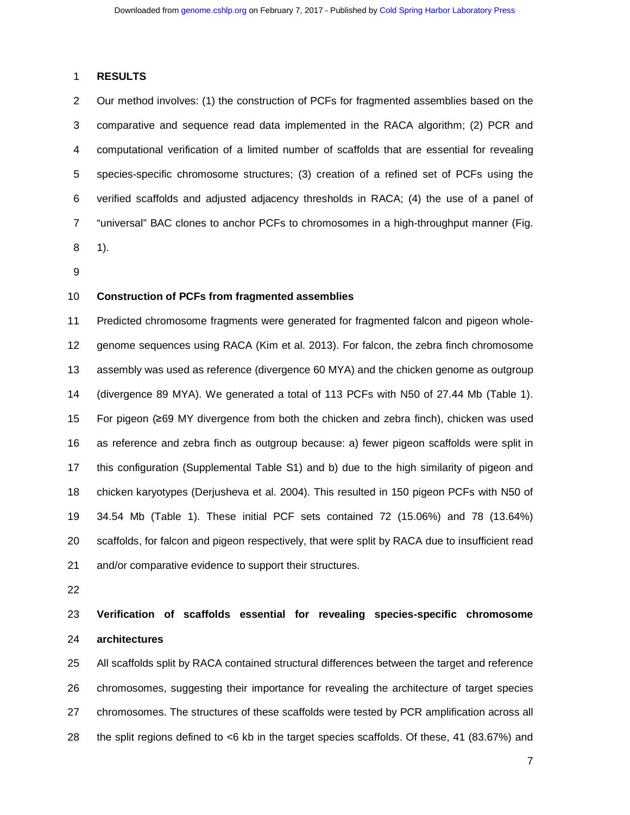#### 1 **RESULTS**

2 Our method involves: (1) the construction of PCFs for fragmented assemblies based on the 3 comparative and sequence read data implemented in the RACA algorithm; (2) PCR and 4 computational verification of a limited number of scaffolds that are essential for revealing 5 species-specific chromosome structures; (3) creation of a refined set of PCFs using the 6 verified scaffolds and adjusted adjacency thresholds in RACA; (4) the use of a panel of 7 "universal" BAC clones to anchor PCFs to chromosomes in a high-throughput manner (Fig. 8 1).

9

### 10 **Construction of PCFs from fragmented assemblies**

11 Predicted chromosome fragments were generated for fragmented falcon and pigeon whole-12 genome sequences using RACA (Kim et al. 2013). For falcon, the zebra finch chromosome 13 assembly was used as reference (divergence 60 MYA) and the chicken genome as outgroup 14 (divergence 89 MYA). We generated a total of 113 PCFs with N50 of 27.44 Mb (Table 1). 15 For pigeon (≥69 MY divergence from both the chicken and zebra finch), chicken was used 16 as reference and zebra finch as outgroup because: a) fewer pigeon scaffolds were split in 17 this configuration (Supplemental Table S1) and b) due to the high similarity of pigeon and 18 chicken karyotypes (Derjusheva et al. 2004). This resulted in 150 pigeon PCFs with N50 of 19 34.54 Mb (Table 1). These initial PCF sets contained 72 (15.06%) and 78 (13.64%) 20 scaffolds, for falcon and pigeon respectively, that were split by RACA due to insufficient read 21 and/or comparative evidence to support their structures.

22

### 23 **Verification of scaffolds essential for revealing species-specific chromosome**  24 **architectures**

25 All scaffolds split by RACA contained structural differences between the target and reference 26 chromosomes, suggesting their importance for revealing the architecture of target species 27 chromosomes. The structures of these scaffolds were tested by PCR amplification across all 28 the split regions defined to <6 kb in the target species scaffolds. Of these, 41 (83.67%) and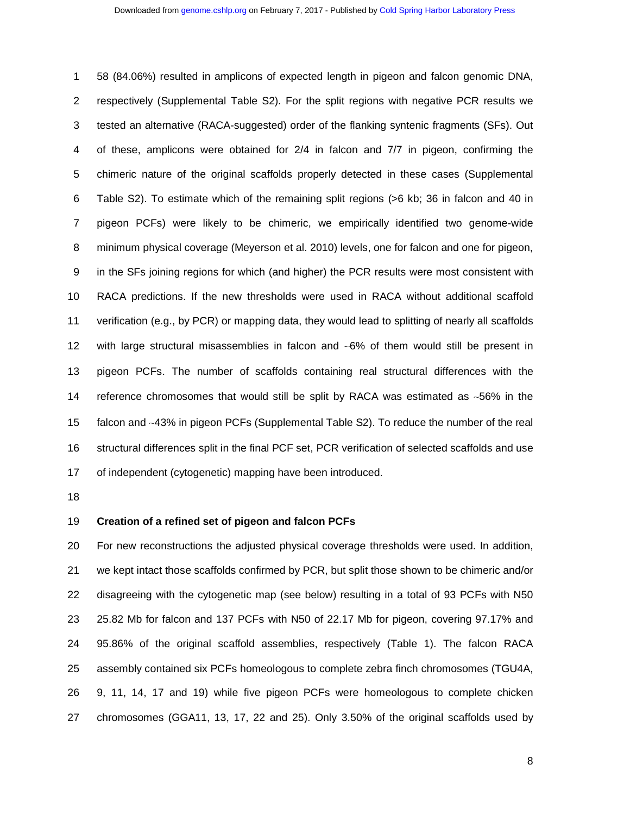1 58 (84.06%) resulted in amplicons of expected length in pigeon and falcon genomic DNA, 2 respectively (Supplemental Table S2). For the split regions with negative PCR results we 3 tested an alternative (RACA-suggested) order of the flanking syntenic fragments (SFs). Out 4 of these, amplicons were obtained for 2/4 in falcon and 7/7 in pigeon, confirming the 5 chimeric nature of the original scaffolds properly detected in these cases (Supplemental 6 Table S2). To estimate which of the remaining split regions (>6 kb; 36 in falcon and 40 in 7 pigeon PCFs) were likely to be chimeric, we empirically identified two genome-wide 8 minimum physical coverage (Meyerson et al. 2010) levels, one for falcon and one for pigeon, 9 in the SFs joining regions for which (and higher) the PCR results were most consistent with 10 RACA predictions. If the new thresholds were used in RACA without additional scaffold 11 verification (e.g., by PCR) or mapping data, they would lead to splitting of nearly all scaffolds 12 with large structural misassemblies in falcon and ∼6% of them would still be present in 13 pigeon PCFs. The number of scaffolds containing real structural differences with the 14 reference chromosomes that would still be split by RACA was estimated as ∼56% in the 15 falcon and ∼43% in pigeon PCFs (Supplemental Table S2). To reduce the number of the real 16 structural differences split in the final PCF set, PCR verification of selected scaffolds and use 17 of independent (cytogenetic) mapping have been introduced.

18

### 19 **Creation of a refined set of pigeon and falcon PCFs**

20 For new reconstructions the adjusted physical coverage thresholds were used. In addition, 21 we kept intact those scaffolds confirmed by PCR, but split those shown to be chimeric and/or 22 disagreeing with the cytogenetic map (see below) resulting in a total of 93 PCFs with N50 23 25.82 Mb for falcon and 137 PCFs with N50 of 22.17 Mb for pigeon, covering 97.17% and 24 95.86% of the original scaffold assemblies, respectively (Table 1). The falcon RACA 25 assembly contained six PCFs homeologous to complete zebra finch chromosomes (TGU4A, 26 9, 11, 14, 17 and 19) while five pigeon PCFs were homeologous to complete chicken 27 chromosomes (GGA11, 13, 17, 22 and 25). Only 3.50% of the original scaffolds used by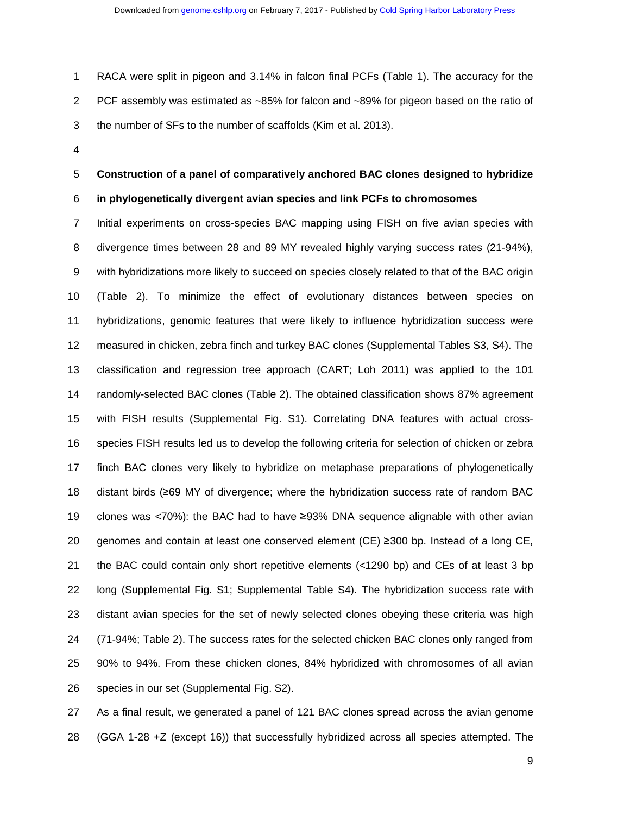1 RACA were split in pigeon and 3.14% in falcon final PCFs (Table 1). The accuracy for the 2 PCF assembly was estimated as ~85% for falcon and ~89% for pigeon based on the ratio of 3 the number of SFs to the number of scaffolds (Kim et al. 2013).

4

## 5 **Construction of a panel of comparatively anchored BAC clones designed to hybridize**

### 6 **in phylogenetically divergent avian species and link PCFs to chromosomes**

7 Initial experiments on cross-species BAC mapping using FISH on five avian species with 8 divergence times between 28 and 89 MY revealed highly varying success rates (21-94%), 9 with hybridizations more likely to succeed on species closely related to that of the BAC origin 10 (Table 2). To minimize the effect of evolutionary distances between species on 11 hybridizations, genomic features that were likely to influence hybridization success were 12 measured in chicken, zebra finch and turkey BAC clones (Supplemental Tables S3, S4). The 13 classification and regression tree approach (CART; Loh 2011) was applied to the 101 14 randomly-selected BAC clones (Table 2). The obtained classification shows 87% agreement 15 with FISH results (Supplemental Fig. S1). Correlating DNA features with actual cross-16 species FISH results led us to develop the following criteria for selection of chicken or zebra 17 finch BAC clones very likely to hybridize on metaphase preparations of phylogenetically 18 distant birds (≥69 MY of divergence; where the hybridization success rate of random BAC 19 clones was <70%): the BAC had to have ≥93% DNA sequence alignable with other avian 20 genomes and contain at least one conserved element (CE) ≥300 bp. Instead of a long CE, 21 the BAC could contain only short repetitive elements (<1290 bp) and CEs of at least 3 bp 22 long (Supplemental Fig. S1; Supplemental Table S4). The hybridization success rate with 23 distant avian species for the set of newly selected clones obeying these criteria was high 24 (71-94%; Table 2). The success rates for the selected chicken BAC clones only ranged from 25 90% to 94%. From these chicken clones, 84% hybridized with chromosomes of all avian 26 species in our set (Supplemental Fig. S2).

27 As a final result, we generated a panel of 121 BAC clones spread across the avian genome 28 (GGA 1-28 +Z (except 16)) that successfully hybridized across all species attempted. The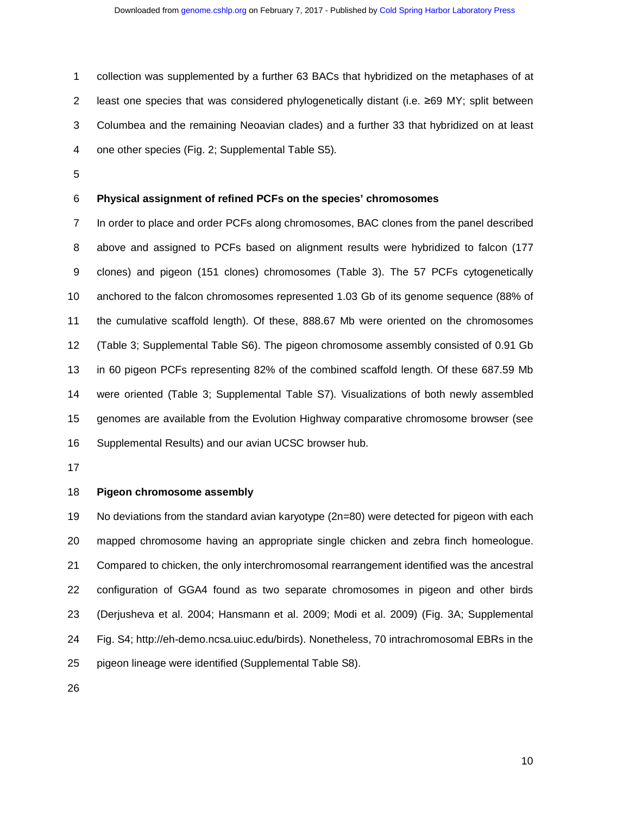1 collection was supplemented by a further 63 BACs that hybridized on the metaphases of at 2 least one species that was considered phylogenetically distant (i.e.  $\geq 69$  MY; split between 3 Columbea and the remaining Neoavian clades) and a further 33 that hybridized on at least 4 one other species (Fig. 2; Supplemental Table S5).

5

### 6 **Physical assignment of refined PCFs on the species' chromosomes**

7 In order to place and order PCFs along chromosomes, BAC clones from the panel described 8 above and assigned to PCFs based on alignment results were hybridized to falcon (177 9 clones) and pigeon (151 clones) chromosomes (Table 3). The 57 PCFs cytogenetically 10 anchored to the falcon chromosomes represented 1.03 Gb of its genome sequence (88% of 11 the cumulative scaffold length). Of these, 888.67 Mb were oriented on the chromosomes 12 (Table 3; Supplemental Table S6). The pigeon chromosome assembly consisted of 0.91 Gb 13 in 60 pigeon PCFs representing 82% of the combined scaffold length. Of these 687.59 Mb 14 were oriented (Table 3; Supplemental Table S7). Visualizations of both newly assembled 15 genomes are available from the Evolution Highway comparative chromosome browser (see 16 Supplemental Results) and our avian UCSC browser hub.

17

### 18 **Pigeon chromosome assembly**

19 No deviations from the standard avian karyotype (2n=80) were detected for pigeon with each 20 mapped chromosome having an appropriate single chicken and zebra finch homeologue. 21 Compared to chicken, the only interchromosomal rearrangement identified was the ancestral 22 configuration of GGA4 found as two separate chromosomes in pigeon and other birds 23 (Derjusheva et al. 2004; Hansmann et al. 2009; Modi et al. 2009) (Fig. 3A; Supplemental 24 Fig. S4; http://eh-demo.ncsa.uiuc.edu/birds). Nonetheless, 70 intrachromosomal EBRs in the 25 pigeon lineage were identified (Supplemental Table S8).

26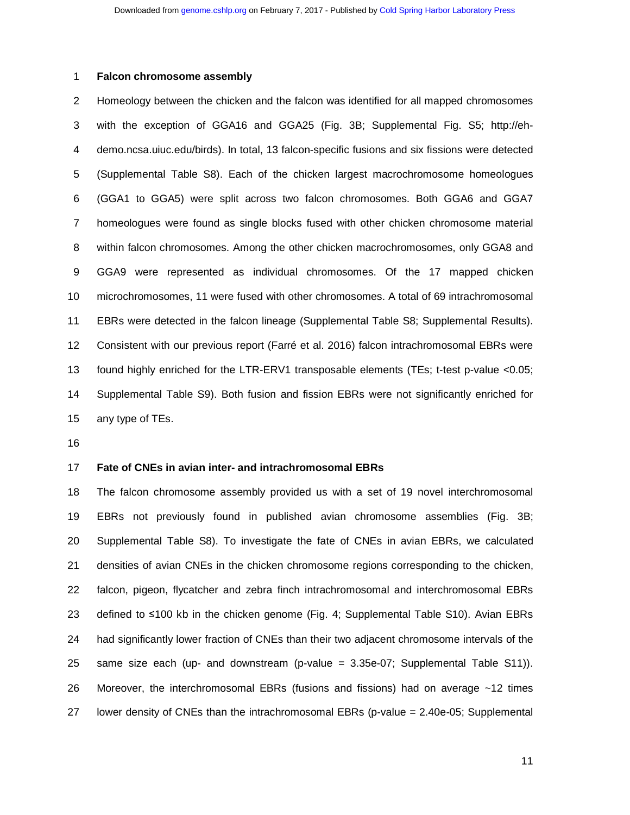### 1 **Falcon chromosome assembly**

2 Homeology between the chicken and the falcon was identified for all mapped chromosomes 3 with the exception of GGA16 and GGA25 (Fig. 3B; Supplemental Fig. S5; http://eh-4 demo.ncsa.uiuc.edu/birds). In total, 13 falcon-specific fusions and six fissions were detected 5 (Supplemental Table S8). Each of the chicken largest macrochromosome homeologues 6 (GGA1 to GGA5) were split across two falcon chromosomes. Both GGA6 and GGA7 7 homeologues were found as single blocks fused with other chicken chromosome material 8 within falcon chromosomes. Among the other chicken macrochromosomes, only GGA8 and 9 GGA9 were represented as individual chromosomes. Of the 17 mapped chicken 10 microchromosomes, 11 were fused with other chromosomes. A total of 69 intrachromosomal 11 EBRs were detected in the falcon lineage (Supplemental Table S8; Supplemental Results). 12 Consistent with our previous report (Farré et al. 2016) falcon intrachromosomal EBRs were 13 found highly enriched for the LTR-ERV1 transposable elements (TEs; t-test p-value <0.05; 14 Supplemental Table S9). Both fusion and fission EBRs were not significantly enriched for 15 any type of TEs.

16

#### 17 **Fate of CNEs in avian inter- and intrachromosomal EBRs**

18 The falcon chromosome assembly provided us with a set of 19 novel interchromosomal 19 EBRs not previously found in published avian chromosome assemblies (Fig. 3B; 20 Supplemental Table S8). To investigate the fate of CNEs in avian EBRs, we calculated 21 densities of avian CNEs in the chicken chromosome regions corresponding to the chicken, 22 falcon, pigeon, flycatcher and zebra finch intrachromosomal and interchromosomal EBRs 23 defined to ≤100 kb in the chicken genome (Fig. 4; Supplemental Table S10). Avian EBRs 24 had significantly lower fraction of CNEs than their two adjacent chromosome intervals of the 25 same size each (up- and downstream (p-value = 3.35e-07; Supplemental Table S11)). 26 Moreover, the interchromosomal EBRs (fusions and fissions) had on average  $~12$  times 27 lower density of CNEs than the intrachromosomal EBRs (p-value = 2.40e-05; Supplemental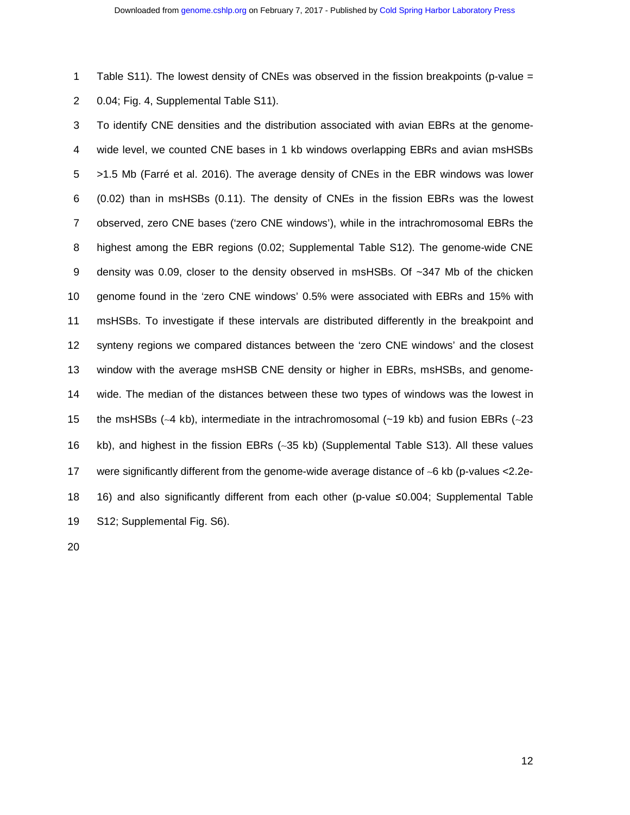1 Table S11). The lowest density of CNEs was observed in the fission breakpoints (p-value = 2 0.04; Fig. 4, Supplemental Table S11).

3 To identify CNE densities and the distribution associated with avian EBRs at the genome-4 wide level, we counted CNE bases in 1 kb windows overlapping EBRs and avian msHSBs 5 >1.5 Mb (Farré et al. 2016). The average density of CNEs in the EBR windows was lower 6 (0.02) than in msHSBs (0.11). The density of CNEs in the fission EBRs was the lowest 7 observed, zero CNE bases ('zero CNE windows'), while in the intrachromosomal EBRs the 8 highest among the EBR regions (0.02; Supplemental Table S12). The genome-wide CNE 9 density was 0.09, closer to the density observed in msHSBs. Of ~347 Mb of the chicken 10 genome found in the 'zero CNE windows' 0.5% were associated with EBRs and 15% with 11 msHSBs. To investigate if these intervals are distributed differently in the breakpoint and 12 synteny regions we compared distances between the 'zero CNE windows' and the closest 13 window with the average msHSB CNE density or higher in EBRs, msHSBs, and genome-14 wide. The median of the distances between these two types of windows was the lowest in 15 the msHSBs (∼4 kb), intermediate in the intrachromosomal (~19 kb) and fusion EBRs (∼23 16 kb), and highest in the fission EBRs (∼35 kb) (Supplemental Table S13). All these values 17 were significantly different from the genome-wide average distance of ∼6 kb (p-values <2.2e-18 16) and also significantly different from each other (p-value ≤0.004; Supplemental Table 19 S12; Supplemental Fig. S6).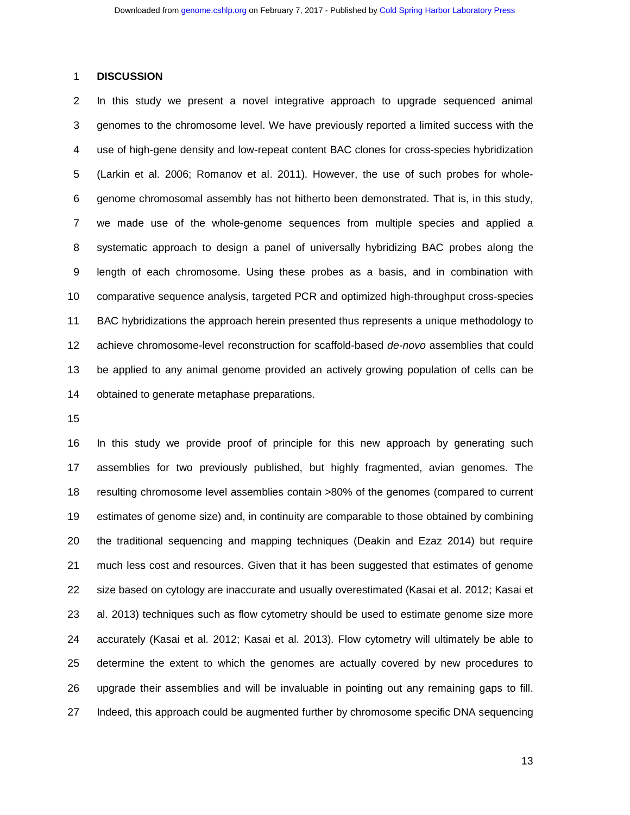### 1 **DISCUSSION**

2 In this study we present a novel integrative approach to upgrade sequenced animal 3 genomes to the chromosome level. We have previously reported a limited success with the 4 use of high-gene density and low-repeat content BAC clones for cross-species hybridization 5 (Larkin et al. 2006; Romanov et al. 2011). However, the use of such probes for whole-6 genome chromosomal assembly has not hitherto been demonstrated. That is, in this study, 7 we made use of the whole-genome sequences from multiple species and applied a 8 systematic approach to design a panel of universally hybridizing BAC probes along the 9 length of each chromosome. Using these probes as a basis, and in combination with 10 comparative sequence analysis, targeted PCR and optimized high-throughput cross-species 11 BAC hybridizations the approach herein presented thus represents a unique methodology to 12 achieve chromosome-level reconstruction for scaffold-based de-novo assemblies that could 13 be applied to any animal genome provided an actively growing population of cells can be 14 obtained to generate metaphase preparations.

15

16 In this study we provide proof of principle for this new approach by generating such 17 assemblies for two previously published, but highly fragmented, avian genomes. The 18 resulting chromosome level assemblies contain >80% of the genomes (compared to current 19 estimates of genome size) and, in continuity are comparable to those obtained by combining 20 the traditional sequencing and mapping techniques (Deakin and Ezaz 2014) but require 21 much less cost and resources. Given that it has been suggested that estimates of genome 22 size based on cytology are inaccurate and usually overestimated (Kasai et al. 2012; Kasai et 23 al. 2013) techniques such as flow cytometry should be used to estimate genome size more 24 accurately (Kasai et al. 2012; Kasai et al. 2013). Flow cytometry will ultimately be able to 25 determine the extent to which the genomes are actually covered by new procedures to 26 upgrade their assemblies and will be invaluable in pointing out any remaining gaps to fill. 27 Indeed, this approach could be augmented further by chromosome specific DNA sequencing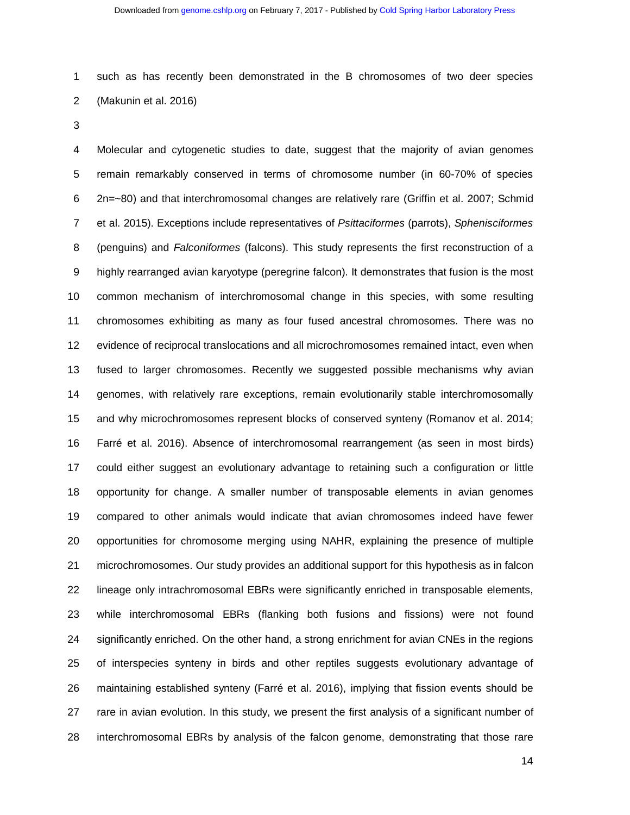1 such as has recently been demonstrated in the B chromosomes of two deer species 2 (Makunin et al. 2016)

3

4 Molecular and cytogenetic studies to date, suggest that the majority of avian genomes 5 remain remarkably conserved in terms of chromosome number (in 60-70% of species 6 2n=~80) and that interchromosomal changes are relatively rare (Griffin et al. 2007; Schmid 7 et al. 2015). Exceptions include representatives of Psittaciformes (parrots), Sphenisciformes 8 (penguins) and *Falconiformes* (falcons). This study represents the first reconstruction of a 9 highly rearranged avian karyotype (peregrine falcon). It demonstrates that fusion is the most 10 common mechanism of interchromosomal change in this species, with some resulting 11 chromosomes exhibiting as many as four fused ancestral chromosomes. There was no 12 evidence of reciprocal translocations and all microchromosomes remained intact, even when 13 fused to larger chromosomes. Recently we suggested possible mechanisms why avian 14 genomes, with relatively rare exceptions, remain evolutionarily stable interchromosomally 15 and why microchromosomes represent blocks of conserved synteny (Romanov et al. 2014; 16 Farré et al. 2016). Absence of interchromosomal rearrangement (as seen in most birds) 17 could either suggest an evolutionary advantage to retaining such a configuration or little 18 opportunity for change. A smaller number of transposable elements in avian genomes 19 compared to other animals would indicate that avian chromosomes indeed have fewer 20 opportunities for chromosome merging using NAHR, explaining the presence of multiple 21 microchromosomes. Our study provides an additional support for this hypothesis as in falcon 22 lineage only intrachromosomal EBRs were significantly enriched in transposable elements, 23 while interchromosomal EBRs (flanking both fusions and fissions) were not found 24 significantly enriched. On the other hand, a strong enrichment for avian CNEs in the regions 25 of interspecies synteny in birds and other reptiles suggests evolutionary advantage of 26 maintaining established synteny (Farré et al. 2016), implying that fission events should be 27 rare in avian evolution. In this study, we present the first analysis of a significant number of 28 interchromosomal EBRs by analysis of the falcon genome, demonstrating that those rare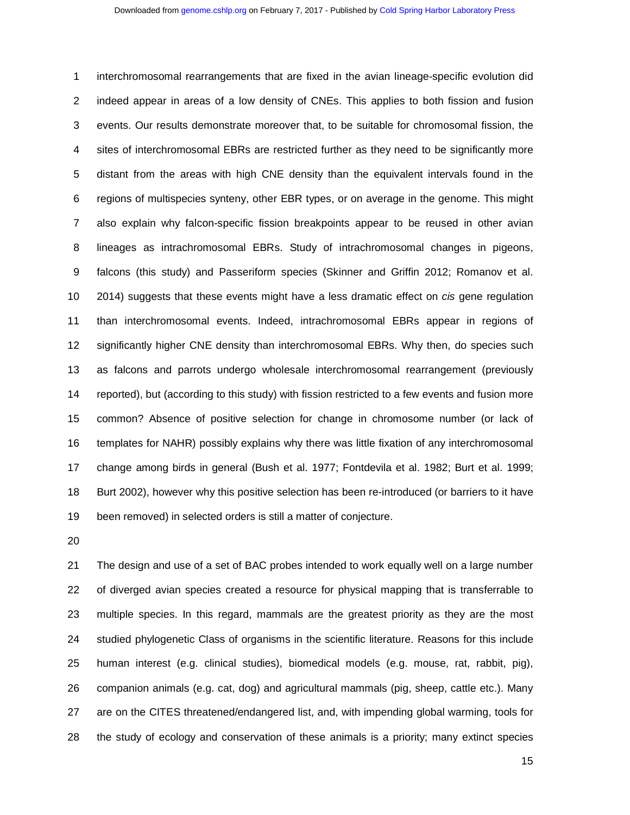1 interchromosomal rearrangements that are fixed in the avian lineage-specific evolution did 2 indeed appear in areas of a low density of CNEs. This applies to both fission and fusion 3 events. Our results demonstrate moreover that, to be suitable for chromosomal fission, the 4 sites of interchromosomal EBRs are restricted further as they need to be significantly more 5 distant from the areas with high CNE density than the equivalent intervals found in the 6 regions of multispecies synteny, other EBR types, or on average in the genome. This might 7 also explain why falcon-specific fission breakpoints appear to be reused in other avian 8 lineages as intrachromosomal EBRs. Study of intrachromosomal changes in pigeons, 9 falcons (this study) and Passeriform species (Skinner and Griffin 2012; Romanov et al. 10 2014) suggests that these events might have a less dramatic effect on *cis* gene regulation 11 than interchromosomal events. Indeed, intrachromosomal EBRs appear in regions of 12 significantly higher CNE density than interchromosomal EBRs. Why then, do species such 13 as falcons and parrots undergo wholesale interchromosomal rearrangement (previously 14 reported), but (according to this study) with fission restricted to a few events and fusion more 15 common? Absence of positive selection for change in chromosome number (or lack of 16 templates for NAHR) possibly explains why there was little fixation of any interchromosomal 17 change among birds in general (Bush et al. 1977; Fontdevila et al. 1982; Burt et al. 1999; 18 Burt 2002), however why this positive selection has been re-introduced (or barriers to it have 19 been removed) in selected orders is still a matter of conjecture.

20

21 The design and use of a set of BAC probes intended to work equally well on a large number 22 of diverged avian species created a resource for physical mapping that is transferrable to 23 multiple species. In this regard, mammals are the greatest priority as they are the most 24 studied phylogenetic Class of organisms in the scientific literature. Reasons for this include 25 human interest (e.g. clinical studies), biomedical models (e.g. mouse, rat, rabbit, pig), 26 companion animals (e.g. cat, dog) and agricultural mammals (pig, sheep, cattle etc.). Many 27 are on the CITES threatened/endangered list, and, with impending global warming, tools for 28 the study of ecology and conservation of these animals is a priority; many extinct species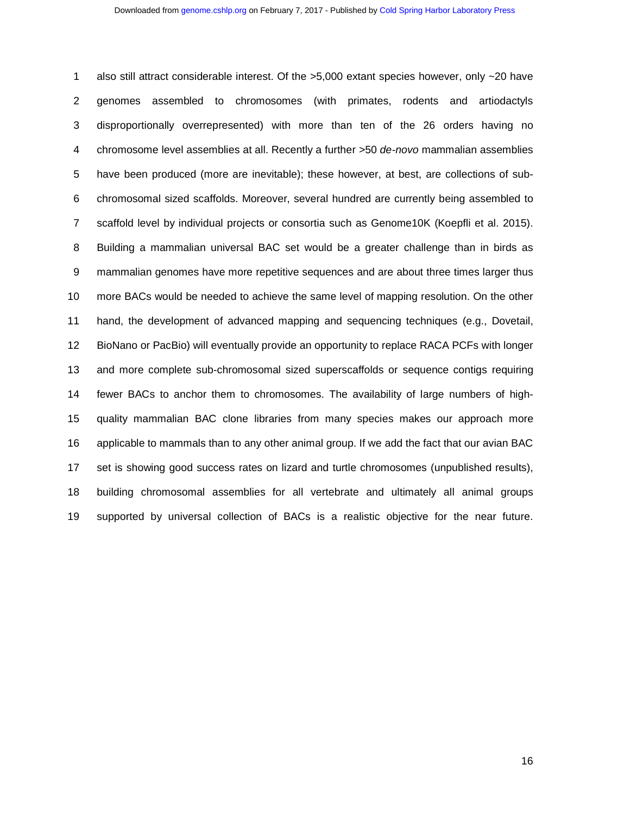1 also still attract considerable interest. Of the >5,000 extant species however, only ~20 have 2 genomes assembled to chromosomes (with primates, rodents and artiodactyls 3 disproportionally overrepresented) with more than ten of the 26 orders having no 4 chromosome level assemblies at all. Recently a further >50 de-novo mammalian assemblies 5 have been produced (more are inevitable); these however, at best, are collections of sub-6 chromosomal sized scaffolds. Moreover, several hundred are currently being assembled to 7 scaffold level by individual projects or consortia such as Genome10K (Koepfli et al. 2015). 8 Building a mammalian universal BAC set would be a greater challenge than in birds as 9 mammalian genomes have more repetitive sequences and are about three times larger thus 10 more BACs would be needed to achieve the same level of mapping resolution. On the other 11 hand, the development of advanced mapping and sequencing techniques (e.g., Dovetail, 12 BioNano or PacBio) will eventually provide an opportunity to replace RACA PCFs with longer 13 and more complete sub-chromosomal sized superscaffolds or sequence contigs requiring 14 fewer BACs to anchor them to chromosomes. The availability of large numbers of high-15 quality mammalian BAC clone libraries from many species makes our approach more 16 applicable to mammals than to any other animal group. If we add the fact that our avian BAC 17 set is showing good success rates on lizard and turtle chromosomes (unpublished results), 18 building chromosomal assemblies for all vertebrate and ultimately all animal groups 19 supported by universal collection of BACs is a realistic objective for the near future.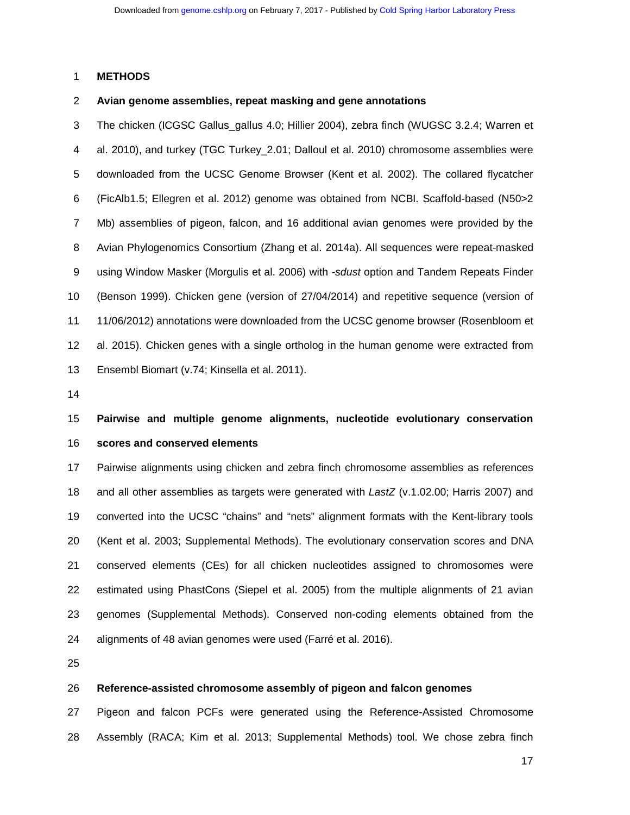#### 1 **METHODS**

#### 2 **Avian genome assemblies, repeat masking and gene annotations**

3 The chicken (ICGSC Gallus\_gallus 4.0; Hillier 2004), zebra finch (WUGSC 3.2.4; Warren et 4 al. 2010), and turkey (TGC Turkey\_2.01; Dalloul et al. 2010) chromosome assemblies were 5 downloaded from the UCSC Genome Browser (Kent et al. 2002). The collared flycatcher 6 (FicAlb1.5; Ellegren et al. 2012) genome was obtained from NCBI. Scaffold-based (N50>2 7 Mb) assemblies of pigeon, falcon, and 16 additional avian genomes were provided by the 8 Avian Phylogenomics Consortium (Zhang et al. 2014a). All sequences were repeat-masked 9 using Window Masker (Morgulis et al. 2006) with -sdust option and Tandem Repeats Finder 10 (Benson 1999). Chicken gene (version of 27/04/2014) and repetitive sequence (version of 11 11/06/2012) annotations were downloaded from the UCSC genome browser (Rosenbloom et 12 al. 2015). Chicken genes with a single ortholog in the human genome were extracted from 13 Ensembl Biomart (v.74; Kinsella et al. 2011).

14

### 15 **Pairwise and multiple genome alignments, nucleotide evolutionary conservation**  16 **scores and conserved elements**

17 Pairwise alignments using chicken and zebra finch chromosome assemblies as references 18 and all other assemblies as targets were generated with LastZ (v.1.02.00; Harris 2007) and 19 converted into the UCSC "chains" and "nets" alignment formats with the Kent-library tools 20 (Kent et al. 2003; Supplemental Methods). The evolutionary conservation scores and DNA 21 conserved elements (CEs) for all chicken nucleotides assigned to chromosomes were 22 estimated using PhastCons (Siepel et al. 2005) from the multiple alignments of 21 avian 23 genomes (Supplemental Methods). Conserved non-coding elements obtained from the 24 alignments of 48 avian genomes were used (Farré et al. 2016).

25

### 26 **Reference-assisted chromosome assembly of pigeon and falcon genomes**

27 Pigeon and falcon PCFs were generated using the Reference-Assisted Chromosome 28 Assembly (RACA; Kim et al. 2013; Supplemental Methods) tool. We chose zebra finch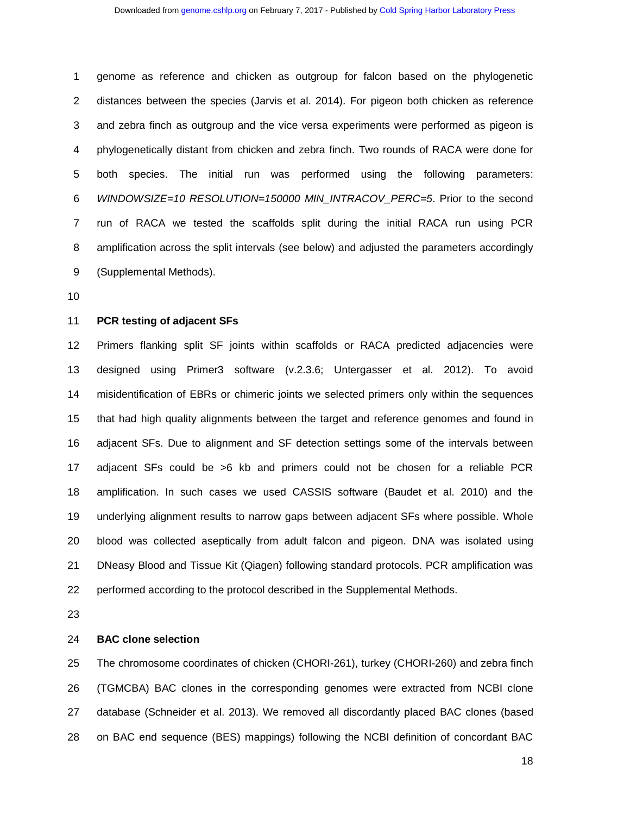1 genome as reference and chicken as outgroup for falcon based on the phylogenetic 2 distances between the species (Jarvis et al. 2014). For pigeon both chicken as reference 3 and zebra finch as outgroup and the vice versa experiments were performed as pigeon is 4 phylogenetically distant from chicken and zebra finch. Two rounds of RACA were done for 5 both species. The initial run was performed using the following parameters: 6 WINDOWSIZE=10 RESOLUTION=150000 MIN\_INTRACOV\_PERC=5. Prior to the second 7 run of RACA we tested the scaffolds split during the initial RACA run using PCR 8 amplification across the split intervals (see below) and adjusted the parameters accordingly 9 (Supplemental Methods).

10

### 11 **PCR testing of adjacent SFs**

12 Primers flanking split SF joints within scaffolds or RACA predicted adjacencies were 13 designed using Primer3 software (v.2.3.6; Untergasser et al. 2012). To avoid 14 misidentification of EBRs or chimeric joints we selected primers only within the sequences 15 that had high quality alignments between the target and reference genomes and found in 16 adjacent SFs. Due to alignment and SF detection settings some of the intervals between 17 adjacent SFs could be >6 kb and primers could not be chosen for a reliable PCR 18 amplification. In such cases we used CASSIS software (Baudet et al. 2010) and the 19 underlying alignment results to narrow gaps between adjacent SFs where possible. Whole 20 blood was collected aseptically from adult falcon and pigeon. DNA was isolated using 21 DNeasy Blood and Tissue Kit (Qiagen) following standard protocols. PCR amplification was 22 performed according to the protocol described in the Supplemental Methods.

23

### 24 **BAC clone selection**

25 The chromosome coordinates of chicken (CHORI-261), turkey (CHORI-260) and zebra finch 26 (TGMCBA) BAC clones in the corresponding genomes were extracted from NCBI clone 27 database (Schneider et al. 2013). We removed all discordantly placed BAC clones (based 28 on BAC end sequence (BES) mappings) following the NCBI definition of concordant BAC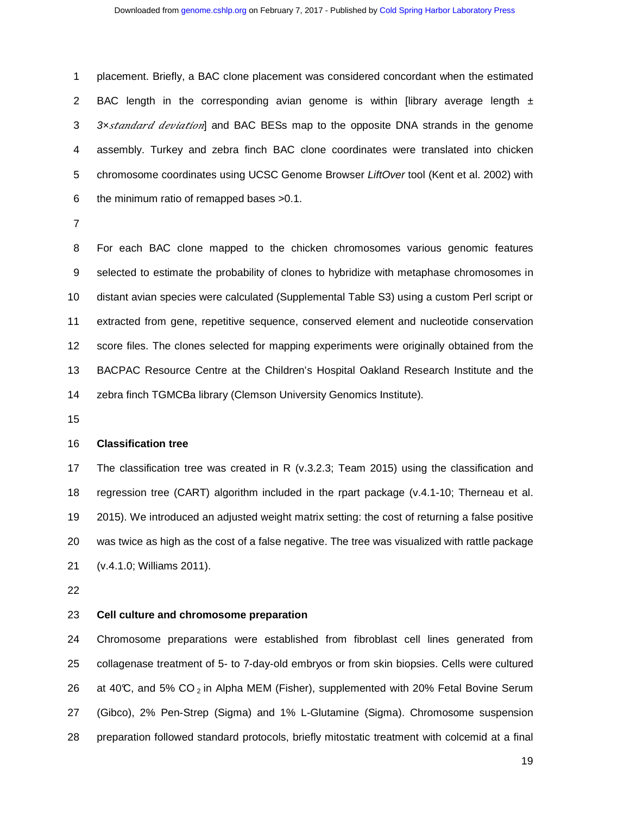1 placement. Briefly, a BAC clone placement was considered concordant when the estimated 2 BAC length in the corresponding avian genome is within [library average length  $\pm$ 3 3xstandard deviation] and BAC BESs map to the opposite DNA strands in the genome 4 assembly. Turkey and zebra finch BAC clone coordinates were translated into chicken 5 chromosome coordinates using UCSC Genome Browser LiftOver tool (Kent et al. 2002) with 6 the minimum ratio of remapped bases >0.1.

7

8 For each BAC clone mapped to the chicken chromosomes various genomic features 9 selected to estimate the probability of clones to hybridize with metaphase chromosomes in 10 distant avian species were calculated (Supplemental Table S3) using a custom Perl script or 11 extracted from gene, repetitive sequence, conserved element and nucleotide conservation 12 score files. The clones selected for mapping experiments were originally obtained from the 13 BACPAC Resource Centre at the Children's Hospital Oakland Research Institute and the 14 zebra finch TGMCBa library (Clemson University Genomics Institute).

15

### 16 **Classification tree**

17 The classification tree was created in R (v.3.2.3; Team 2015) using the classification and 18 regression tree (CART) algorithm included in the rpart package (v.4.1-10; Therneau et al. 19 2015). We introduced an adjusted weight matrix setting: the cost of returning a false positive 20 was twice as high as the cost of a false negative. The tree was visualized with rattle package 21 (v.4.1.0; Williams 2011).

22

### 23 **Cell culture and chromosome preparation**

24 Chromosome preparations were established from fibroblast cell lines generated from 25 collagenase treatment of 5- to 7-day-old embryos or from skin biopsies. Cells were cultured 26 at 40°C, and 5% CO<sub>2</sub> in Alpha MEM (Fisher), supplemented with 20% Fetal Bovine Serum 27 (Gibco), 2% Pen-Strep (Sigma) and 1% L-Glutamine (Sigma). Chromosome suspension 28 preparation followed standard protocols, briefly mitostatic treatment with colcemid at a final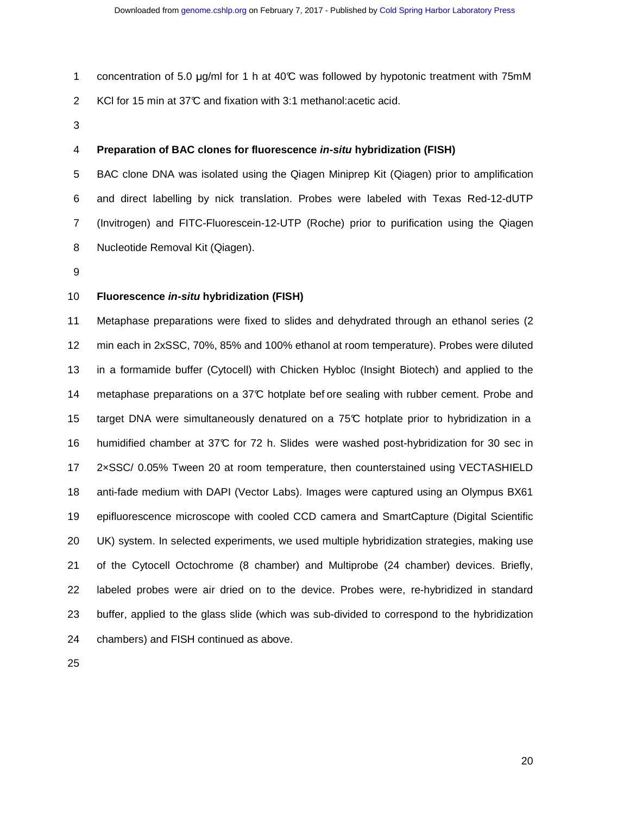- 1 concentration of 5.0 µg/ml for 1 h at 40°C was followed by hypotonic treatment with 75mM 2 KCI for 15 min at 37°C and fixation with 3:1 methanol: acetic acid.
- 3

### 4 **Preparation of BAC clones for fluorescence in-situ hybridization (FISH)**

5 BAC clone DNA was isolated using the Qiagen Miniprep Kit (Qiagen) prior to amplification 6 and direct labelling by nick translation. Probes were labeled with Texas Red-12-dUTP 7 (Invitrogen) and FITC-Fluorescein-12-UTP (Roche) prior to purification using the Qiagen 8 Nucleotide Removal Kit (Qiagen).

9

### 10 **Fluorescence in-situ hybridization (FISH)**

11 Metaphase preparations were fixed to slides and dehydrated through an ethanol series (2 12 min each in 2xSSC, 70%, 85% and 100% ethanol at room temperature). Probes were diluted 13 in a formamide buffer (Cytocell) with Chicken Hybloc (Insight Biotech) and applied to the 14 metaphase preparations on a 37°C hotplate bef ore sealing with rubber cement. Probe and 15 target DNA were simultaneously denatured on a 75°C hotplate prior to hybridization in a 16 humidified chamber at 37°C for 72 h. Slides were washed post-hybridization for 30 sec in 17 2×SSC/ 0.05% Tween 20 at room temperature, then counterstained using VECTASHIELD 18 anti-fade medium with DAPI (Vector Labs). Images were captured using an Olympus BX61 19 epifluorescence microscope with cooled CCD camera and SmartCapture (Digital Scientific 20 UK) system. In selected experiments, we used multiple hybridization strategies, making use 21 of the Cytocell Octochrome (8 chamber) and Multiprobe (24 chamber) devices. Briefly, 22 labeled probes were air dried on to the device. Probes were, re-hybridized in standard 23 buffer, applied to the glass slide (which was sub-divided to correspond to the hybridization 24 chambers) and FISH continued as above.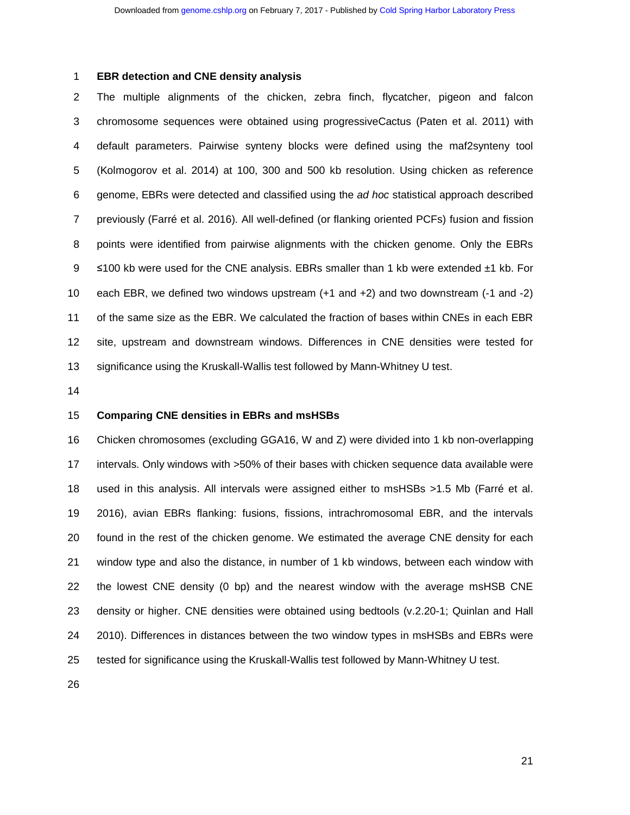### 1 **EBR detection and CNE density analysis**

2 The multiple alignments of the chicken, zebra finch, flycatcher, pigeon and falcon 3 chromosome sequences were obtained using progressiveCactus (Paten et al. 2011) with 4 default parameters. Pairwise synteny blocks were defined using the maf2synteny tool 5 (Kolmogorov et al. 2014) at 100, 300 and 500 kb resolution. Using chicken as reference 6 genome, EBRs were detected and classified using the *ad hoc* statistical approach described 7 previously (Farré et al. 2016). All well-defined (or flanking oriented PCFs) fusion and fission 8 points were identified from pairwise alignments with the chicken genome. Only the EBRs <sup>9</sup>≤100 kb were used for the CNE analysis. EBRs smaller than 1 kb were extended ±1 kb. For 10 each EBR, we defined two windows upstream (+1 and +2) and two downstream (-1 and -2) 11 of the same size as the EBR. We calculated the fraction of bases within CNEs in each EBR 12 site, upstream and downstream windows. Differences in CNE densities were tested for 13 significance using the Kruskall-Wallis test followed by Mann-Whitney U test.

14

#### 15 **Comparing CNE densities in EBRs and msHSBs**

16 Chicken chromosomes (excluding GGA16, W and Z) were divided into 1 kb non-overlapping 17 intervals. Only windows with >50% of their bases with chicken sequence data available were 18 used in this analysis. All intervals were assigned either to msHSBs >1.5 Mb (Farré et al. 19 2016), avian EBRs flanking: fusions, fissions, intrachromosomal EBR, and the intervals 20 found in the rest of the chicken genome. We estimated the average CNE density for each 21 window type and also the distance, in number of 1 kb windows, between each window with 22 the lowest CNE density (0 bp) and the nearest window with the average msHSB CNE 23 density or higher. CNE densities were obtained using bedtools (v.2.20-1; Quinlan and Hall 24 2010). Differences in distances between the two window types in msHSBs and EBRs were 25 tested for significance using the Kruskall-Wallis test followed by Mann-Whitney U test.

26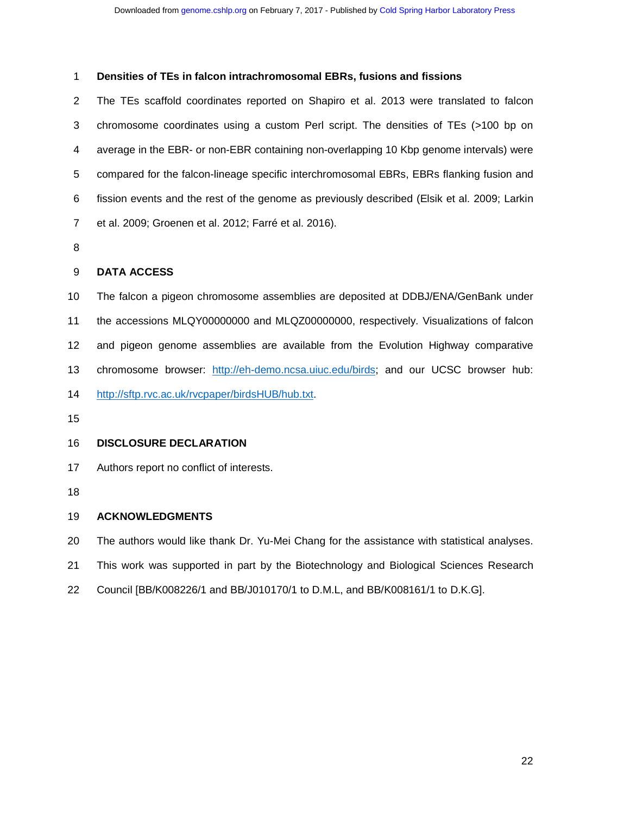### 1 **Densities of TEs in falcon intrachromosomal EBRs, fusions and fissions**

2 The TEs scaffold coordinates reported on Shapiro et al. 2013 were translated to falcon 3 chromosome coordinates using a custom Perl script. The densities of TEs (>100 bp on 4 average in the EBR- or non-EBR containing non-overlapping 10 Kbp genome intervals) were 5 compared for the falcon-lineage specific interchromosomal EBRs, EBRs flanking fusion and 6 fission events and the rest of the genome as previously described (Elsik et al. 2009; Larkin 7 et al. 2009; Groenen et al. 2012; Farré et al. 2016).

8

### 9 **DATA ACCESS**

- 10 The falcon a pigeon chromosome assemblies are deposited at DDBJ/ENA/GenBank under 11 the accessions MLQY00000000 and MLQZ00000000, respectively. Visualizations of falcon 12 and pigeon genome assemblies are available from the Evolution Highway comparative 13 chromosome browser: http://eh-demo.ncsa.uiuc.edu/birds; and our UCSC browser hub: 14 http://sftp.rvc.ac.uk/rvcpaper/birdsHUB/hub.txt.
- 15

### 16 **DISCLOSURE DECLARATION**

17 Authors report no conflict of interests.

18

### 19 **ACKNOWLEDGMENTS**

20 The authors would like thank Dr. Yu-Mei Chang for the assistance with statistical analyses.

- 21 This work was supported in part by the Biotechnology and Biological Sciences Research
- 22 Council [BB/K008226/1 and BB/J010170/1 to D.M.L, and BB/K008161/1 to D.K.G].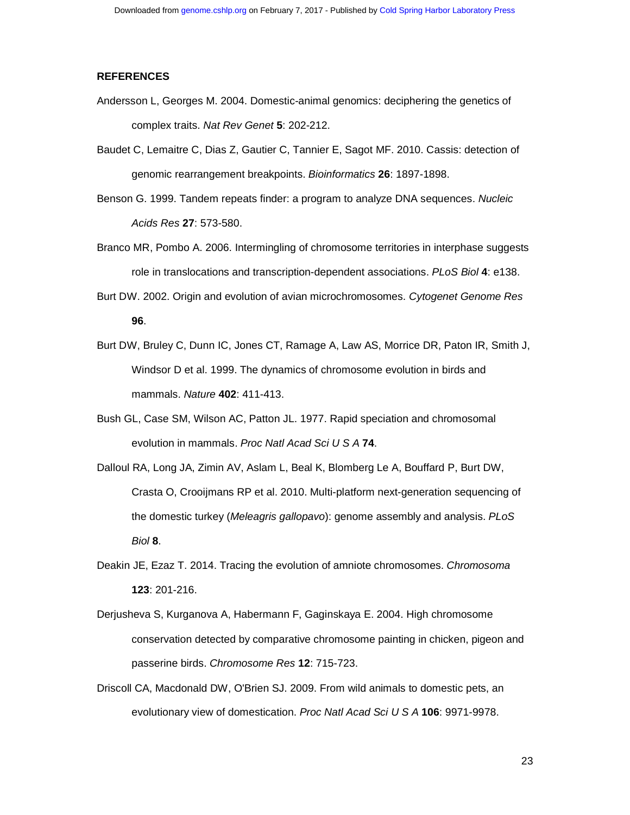#### **REFERENCES**

- Andersson L, Georges M. 2004. Domestic-animal genomics: deciphering the genetics of complex traits. Nat Rev Genet **5**: 202-212.
- Baudet C, Lemaitre C, Dias Z, Gautier C, Tannier E, Sagot MF. 2010. Cassis: detection of genomic rearrangement breakpoints. Bioinformatics **26**: 1897-1898.
- Benson G. 1999. Tandem repeats finder: a program to analyze DNA sequences. Nucleic Acids Res **27**: 573-580.
- Branco MR, Pombo A. 2006. Intermingling of chromosome territories in interphase suggests role in translocations and transcription-dependent associations. PLoS Biol **4**: e138.
- Burt DW. 2002. Origin and evolution of avian microchromosomes. Cytogenet Genome Res **96**.
- Burt DW, Bruley C, Dunn IC, Jones CT, Ramage A, Law AS, Morrice DR, Paton IR, Smith J, Windsor D et al. 1999. The dynamics of chromosome evolution in birds and mammals. Nature **402**: 411-413.
- Bush GL, Case SM, Wilson AC, Patton JL. 1977. Rapid speciation and chromosomal evolution in mammals. Proc Natl Acad Sci U S A **74**.
- Dalloul RA, Long JA, Zimin AV, Aslam L, Beal K, Blomberg Le A, Bouffard P, Burt DW, Crasta O, Crooijmans RP et al. 2010. Multi-platform next-generation sequencing of the domestic turkey (Meleagris gallopavo): genome assembly and analysis. PLoS Biol **8**.
- Deakin JE, Ezaz T. 2014. Tracing the evolution of amniote chromosomes. Chromosoma **123**: 201-216.
- Derjusheva S, Kurganova A, Habermann F, Gaginskaya E. 2004. High chromosome conservation detected by comparative chromosome painting in chicken, pigeon and passerine birds. Chromosome Res **12**: 715-723.
- Driscoll CA, Macdonald DW, O'Brien SJ. 2009. From wild animals to domestic pets, an evolutionary view of domestication. Proc Natl Acad Sci U S A **106**: 9971-9978.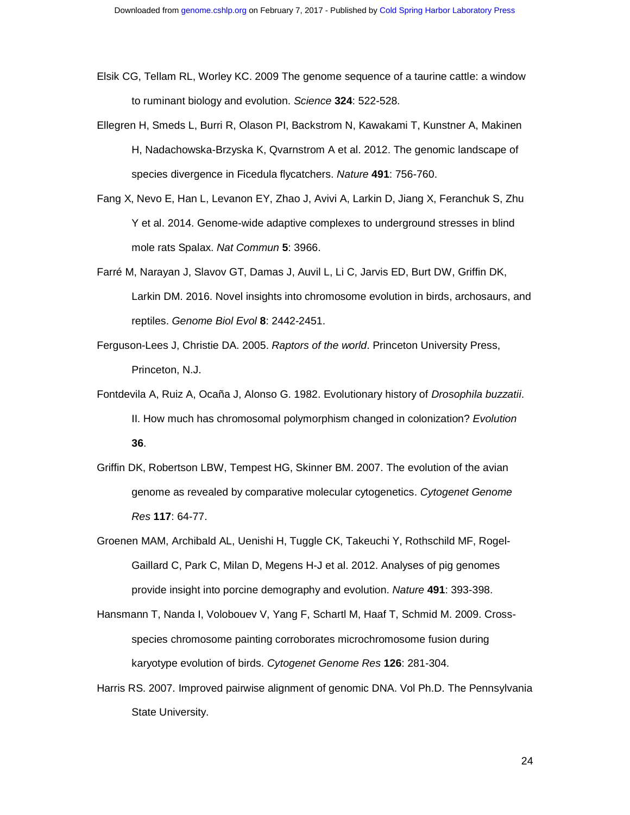- Elsik CG, Tellam RL, Worley KC. 2009 The genome sequence of a taurine cattle: a window to ruminant biology and evolution. Science **324**: 522-528.
- Ellegren H, Smeds L, Burri R, Olason PI, Backstrom N, Kawakami T, Kunstner A, Makinen H, Nadachowska-Brzyska K, Qvarnstrom A et al. 2012. The genomic landscape of species divergence in Ficedula flycatchers. Nature **491**: 756-760.
- Fang X, Nevo E, Han L, Levanon EY, Zhao J, Avivi A, Larkin D, Jiang X, Feranchuk S, Zhu Y et al. 2014. Genome-wide adaptive complexes to underground stresses in blind mole rats Spalax. Nat Commun **5**: 3966.
- Farré M, Narayan J, Slavov GT, Damas J, Auvil L, Li C, Jarvis ED, Burt DW, Griffin DK, Larkin DM. 2016. Novel insights into chromosome evolution in birds, archosaurs, and reptiles. Genome Biol Evol **8**: 2442-2451.
- Ferguson-Lees J, Christie DA. 2005. Raptors of the world. Princeton University Press, Princeton, N.J.
- Fontdevila A, Ruiz A, Ocaña J, Alonso G. 1982. Evolutionary history of Drosophila buzzatii. II. How much has chromosomal polymorphism changed in colonization? Evolution **36**.
- Griffin DK, Robertson LBW, Tempest HG, Skinner BM. 2007. The evolution of the avian genome as revealed by comparative molecular cytogenetics. Cytogenet Genome Res **117**: 64-77.
- Groenen MAM, Archibald AL, Uenishi H, Tuggle CK, Takeuchi Y, Rothschild MF, Rogel-Gaillard C, Park C, Milan D, Megens H-J et al. 2012. Analyses of pig genomes provide insight into porcine demography and evolution. Nature **491**: 393-398.
- Hansmann T, Nanda I, Volobouev V, Yang F, Schartl M, Haaf T, Schmid M. 2009. Crossspecies chromosome painting corroborates microchromosome fusion during karyotype evolution of birds. Cytogenet Genome Res **126**: 281-304.
- Harris RS. 2007. Improved pairwise alignment of genomic DNA. Vol Ph.D. The Pennsylvania State University.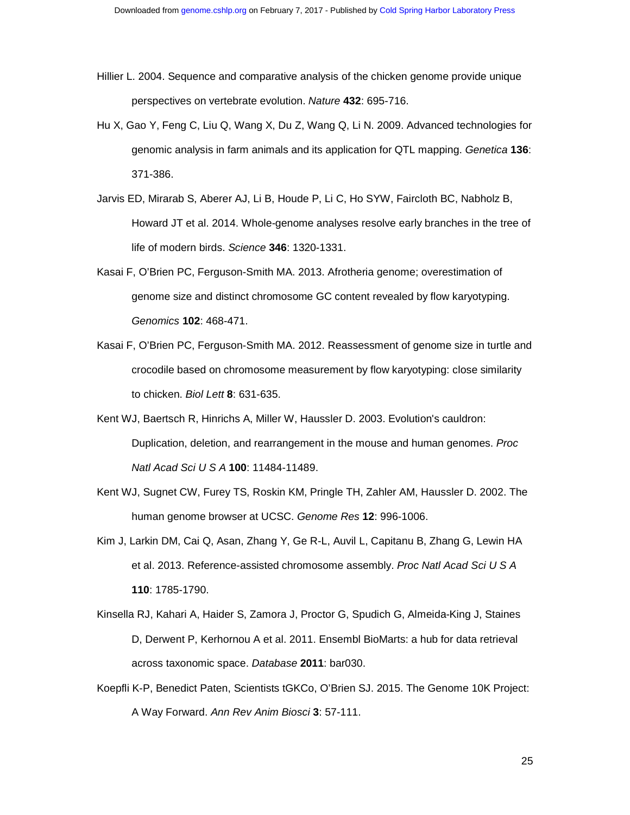- Hillier L. 2004. Sequence and comparative analysis of the chicken genome provide unique perspectives on vertebrate evolution. Nature **432**: 695-716.
- Hu X, Gao Y, Feng C, Liu Q, Wang X, Du Z, Wang Q, Li N. 2009. Advanced technologies for genomic analysis in farm animals and its application for QTL mapping. Genetica **136**: 371-386.
- Jarvis ED, Mirarab S, Aberer AJ, Li B, Houde P, Li C, Ho SYW, Faircloth BC, Nabholz B, Howard JT et al. 2014. Whole-genome analyses resolve early branches in the tree of life of modern birds. Science **346**: 1320-1331.
- Kasai F, O'Brien PC, Ferguson-Smith MA. 2013. Afrotheria genome; overestimation of genome size and distinct chromosome GC content revealed by flow karyotyping. Genomics **102**: 468-471.
- Kasai F, O'Brien PC, Ferguson-Smith MA. 2012. Reassessment of genome size in turtle and crocodile based on chromosome measurement by flow karyotyping: close similarity to chicken. Biol Lett **8**: 631-635.
- Kent WJ, Baertsch R, Hinrichs A, Miller W, Haussler D. 2003. Evolution's cauldron: Duplication, deletion, and rearrangement in the mouse and human genomes. Proc Natl Acad Sci U S A **100**: 11484-11489.
- Kent WJ, Sugnet CW, Furey TS, Roskin KM, Pringle TH, Zahler AM, Haussler D. 2002. The human genome browser at UCSC. Genome Res **12**: 996-1006.
- Kim J, Larkin DM, Cai Q, Asan, Zhang Y, Ge R-L, Auvil L, Capitanu B, Zhang G, Lewin HA et al. 2013. Reference-assisted chromosome assembly. Proc Natl Acad Sci U S A **110**: 1785-1790.
- Kinsella RJ, Kahari A, Haider S, Zamora J, Proctor G, Spudich G, Almeida-King J, Staines D, Derwent P, Kerhornou A et al. 2011. Ensembl BioMarts: a hub for data retrieval across taxonomic space. Database **2011**: bar030.
- Koepfli K-P, Benedict Paten, Scientists tGKCo, O'Brien SJ. 2015. The Genome 10K Project: A Way Forward. Ann Rev Anim Biosci **3**: 57-111.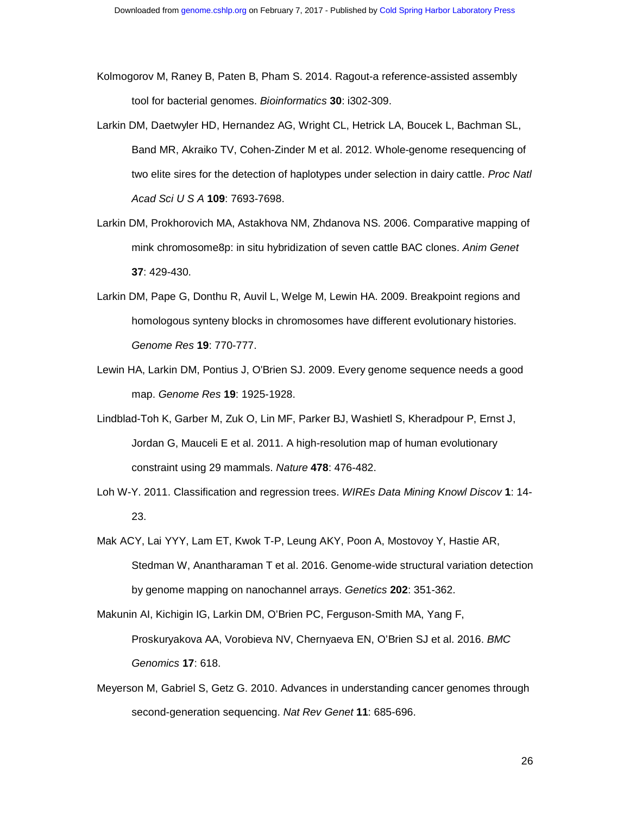- Kolmogorov M, Raney B, Paten B, Pham S. 2014. Ragout-a reference-assisted assembly tool for bacterial genomes. Bioinformatics **30**: i302-309.
- Larkin DM, Daetwyler HD, Hernandez AG, Wright CL, Hetrick LA, Boucek L, Bachman SL, Band MR, Akraiko TV, Cohen-Zinder M et al. 2012. Whole-genome resequencing of two elite sires for the detection of haplotypes under selection in dairy cattle. Proc Natl Acad Sci U S A **109**: 7693-7698.
- Larkin DM, Prokhorovich MA, Astakhova NM, Zhdanova NS. 2006. Comparative mapping of mink chromosome8p: in situ hybridization of seven cattle BAC clones. Anim Genet **37**: 429-430.
- Larkin DM, Pape G, Donthu R, Auvil L, Welge M, Lewin HA. 2009. Breakpoint regions and homologous synteny blocks in chromosomes have different evolutionary histories. Genome Res **19**: 770-777.
- Lewin HA, Larkin DM, Pontius J, O'Brien SJ. 2009. Every genome sequence needs a good map. Genome Res **19**: 1925-1928.
- Lindblad-Toh K, Garber M, Zuk O, Lin MF, Parker BJ, Washietl S, Kheradpour P, Ernst J, Jordan G, Mauceli E et al. 2011. A high-resolution map of human evolutionary constraint using 29 mammals. Nature **478**: 476-482.
- Loh W-Y. 2011. Classification and regression trees. WIREs Data Mining Knowl Discov **1**: 14- 23.
- Mak ACY, Lai YYY, Lam ET, Kwok T-P, Leung AKY, Poon A, Mostovoy Y, Hastie AR, Stedman W, Anantharaman T et al. 2016. Genome-wide structural variation detection by genome mapping on nanochannel arrays. Genetics **202**: 351-362.
- Makunin AI, Kichigin IG, Larkin DM, O'Brien PC, Ferguson-Smith MA, Yang F, Proskuryakova AA, Vorobieva NV, Chernyaeva EN, O'Brien SJ et al. 2016. BMC Genomics **17**: 618.
- Meyerson M, Gabriel S, Getz G. 2010. Advances in understanding cancer genomes through second-generation sequencing. Nat Rev Genet **11**: 685-696.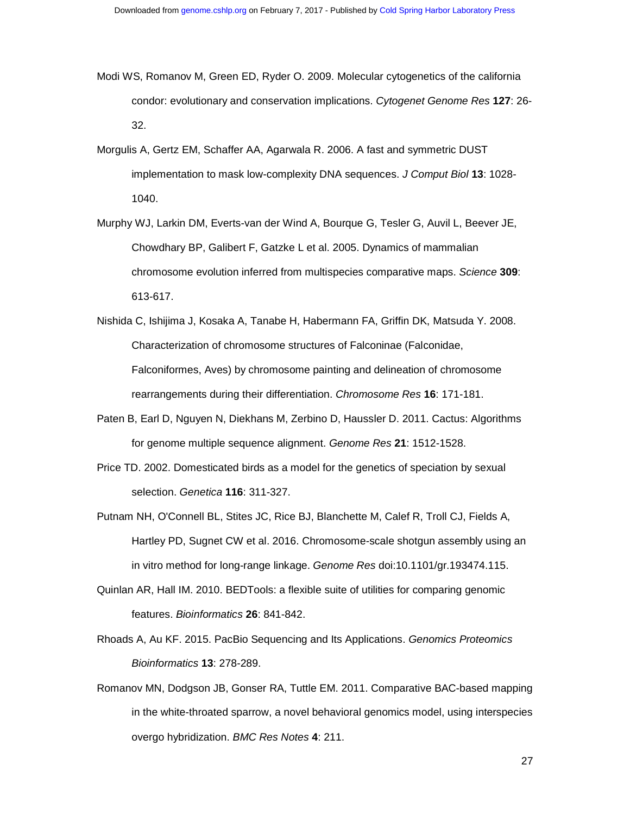- Modi WS, Romanov M, Green ED, Ryder O. 2009. Molecular cytogenetics of the california condor: evolutionary and conservation implications. Cytogenet Genome Res **127**: 26- 32.
- Morgulis A, Gertz EM, Schaffer AA, Agarwala R. 2006. A fast and symmetric DUST implementation to mask low-complexity DNA sequences. J Comput Biol **13**: 1028- 1040.
- Murphy WJ, Larkin DM, Everts-van der Wind A, Bourque G, Tesler G, Auvil L, Beever JE, Chowdhary BP, Galibert F, Gatzke L et al. 2005. Dynamics of mammalian chromosome evolution inferred from multispecies comparative maps. Science **309**: 613-617.
- Nishida C, Ishijima J, Kosaka A, Tanabe H, Habermann FA, Griffin DK, Matsuda Y. 2008. Characterization of chromosome structures of Falconinae (Falconidae, Falconiformes, Aves) by chromosome painting and delineation of chromosome rearrangements during their differentiation. Chromosome Res **16**: 171-181.
- Paten B, Earl D, Nguyen N, Diekhans M, Zerbino D, Haussler D. 2011. Cactus: Algorithms for genome multiple sequence alignment. Genome Res **21**: 1512-1528.
- Price TD. 2002. Domesticated birds as a model for the genetics of speciation by sexual selection. Genetica **116**: 311-327.
- Putnam NH, O'Connell BL, Stites JC, Rice BJ, Blanchette M, Calef R, Troll CJ, Fields A, Hartley PD, Sugnet CW et al. 2016. Chromosome-scale shotgun assembly using an in vitro method for long-range linkage. Genome Res doi:10.1101/gr.193474.115.
- Quinlan AR, Hall IM. 2010. BEDTools: a flexible suite of utilities for comparing genomic features. Bioinformatics **26**: 841-842.
- Rhoads A, Au KF. 2015. PacBio Sequencing and Its Applications. Genomics Proteomics Bioinformatics **13**: 278-289.
- Romanov MN, Dodgson JB, Gonser RA, Tuttle EM. 2011. Comparative BAC-based mapping in the white-throated sparrow, a novel behavioral genomics model, using interspecies overgo hybridization. BMC Res Notes **4**: 211.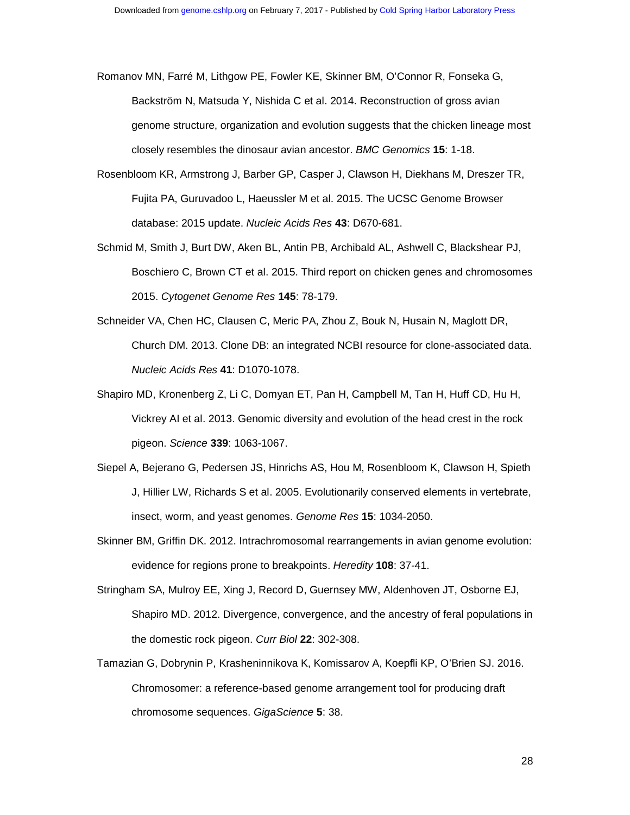Romanov MN, Farré M, Lithgow PE, Fowler KE, Skinner BM, O'Connor R, Fonseka G, Backström N, Matsuda Y, Nishida C et al. 2014. Reconstruction of gross avian genome structure, organization and evolution suggests that the chicken lineage most closely resembles the dinosaur avian ancestor. BMC Genomics **15**: 1-18.

- Rosenbloom KR, Armstrong J, Barber GP, Casper J, Clawson H, Diekhans M, Dreszer TR, Fujita PA, Guruvadoo L, Haeussler M et al. 2015. The UCSC Genome Browser database: 2015 update. Nucleic Acids Res **43**: D670-681.
- Schmid M, Smith J, Burt DW, Aken BL, Antin PB, Archibald AL, Ashwell C, Blackshear PJ, Boschiero C, Brown CT et al. 2015. Third report on chicken genes and chromosomes 2015. Cytogenet Genome Res **145**: 78-179.
- Schneider VA, Chen HC, Clausen C, Meric PA, Zhou Z, Bouk N, Husain N, Maglott DR, Church DM. 2013. Clone DB: an integrated NCBI resource for clone-associated data. Nucleic Acids Res **41**: D1070-1078.
- Shapiro MD, Kronenberg Z, Li C, Domyan ET, Pan H, Campbell M, Tan H, Huff CD, Hu H, Vickrey AI et al. 2013. Genomic diversity and evolution of the head crest in the rock pigeon. Science **339**: 1063-1067.
- Siepel A, Bejerano G, Pedersen JS, Hinrichs AS, Hou M, Rosenbloom K, Clawson H, Spieth J, Hillier LW, Richards S et al. 2005. Evolutionarily conserved elements in vertebrate, insect, worm, and yeast genomes. Genome Res **15**: 1034-2050.
- Skinner BM, Griffin DK. 2012. Intrachromosomal rearrangements in avian genome evolution: evidence for regions prone to breakpoints. Heredity **108**: 37-41.
- Stringham SA, Mulroy EE, Xing J, Record D, Guernsey MW, Aldenhoven JT, Osborne EJ, Shapiro MD. 2012. Divergence, convergence, and the ancestry of feral populations in the domestic rock pigeon. Curr Biol **22**: 302-308.
- Tamazian G, Dobrynin P, Krasheninnikova K, Komissarov A, Koepfli KP, O'Brien SJ. 2016. Chromosomer: a reference-based genome arrangement tool for producing draft chromosome sequences. GigaScience **5**: 38.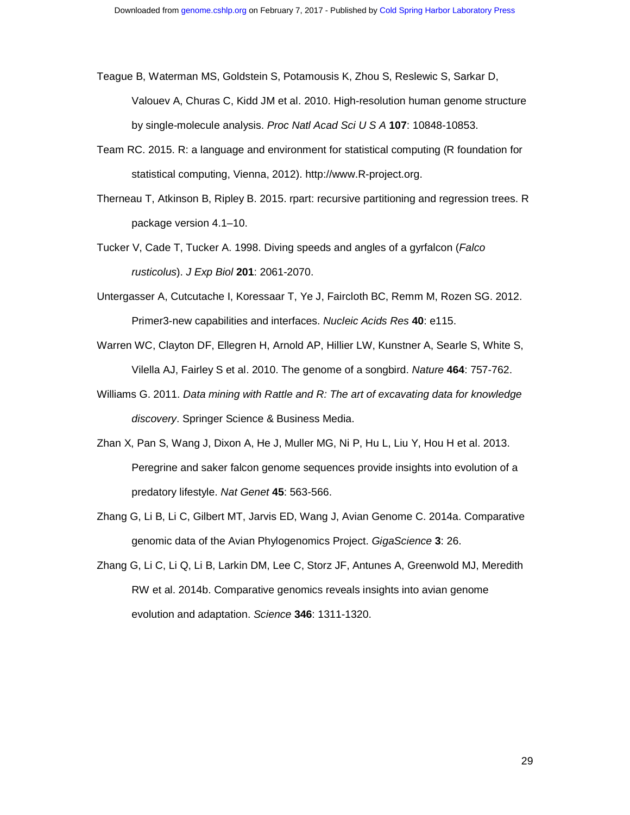- Teague B, Waterman MS, Goldstein S, Potamousis K, Zhou S, Reslewic S, Sarkar D, Valouev A, Churas C, Kidd JM et al. 2010. High-resolution human genome structure by single-molecule analysis. Proc Natl Acad Sci U S A **107**: 10848-10853.
- Team RC. 2015. R: a language and environment for statistical computing (R foundation for statistical computing, Vienna, 2012). http://www.R-project.org.
- Therneau T, Atkinson B, Ripley B. 2015. rpart: recursive partitioning and regression trees. R package version 4.1–10.
- Tucker V, Cade T, Tucker A. 1998. Diving speeds and angles of a gyrfalcon (Falco rusticolus). J Exp Biol **201**: 2061-2070.
- Untergasser A, Cutcutache I, Koressaar T, Ye J, Faircloth BC, Remm M, Rozen SG. 2012. Primer3-new capabilities and interfaces. Nucleic Acids Res **40**: e115.
- Warren WC, Clayton DF, Ellegren H, Arnold AP, Hillier LW, Kunstner A, Searle S, White S, Vilella AJ, Fairley S et al. 2010. The genome of a songbird. Nature **464**: 757-762.
- Williams G. 2011. Data mining with Rattle and R: The art of excavating data for knowledge discovery. Springer Science & Business Media.
- Zhan X, Pan S, Wang J, Dixon A, He J, Muller MG, Ni P, Hu L, Liu Y, Hou H et al. 2013. Peregrine and saker falcon genome sequences provide insights into evolution of a predatory lifestyle. Nat Genet **45**: 563-566.
- Zhang G, Li B, Li C, Gilbert MT, Jarvis ED, Wang J, Avian Genome C. 2014a. Comparative genomic data of the Avian Phylogenomics Project. GigaScience **3**: 26.
- Zhang G, Li C, Li Q, Li B, Larkin DM, Lee C, Storz JF, Antunes A, Greenwold MJ, Meredith RW et al. 2014b. Comparative genomics reveals insights into avian genome evolution and adaptation. Science **346**: 1311-1320.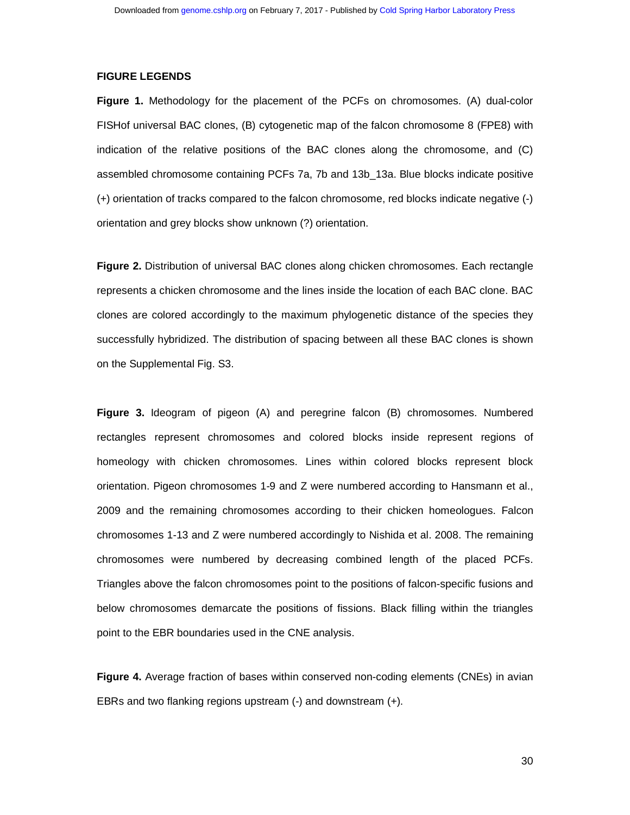### **FIGURE LEGENDS**

**Figure 1.** Methodology for the placement of the PCFs on chromosomes. (A) dual-color FISHof universal BAC clones, (B) cytogenetic map of the falcon chromosome 8 (FPE8) with indication of the relative positions of the BAC clones along the chromosome, and (C) assembled chromosome containing PCFs 7a, 7b and 13b\_13a. Blue blocks indicate positive (+) orientation of tracks compared to the falcon chromosome, red blocks indicate negative (-) orientation and grey blocks show unknown (?) orientation.

**Figure 2.** Distribution of universal BAC clones along chicken chromosomes. Each rectangle represents a chicken chromosome and the lines inside the location of each BAC clone. BAC clones are colored accordingly to the maximum phylogenetic distance of the species they successfully hybridized. The distribution of spacing between all these BAC clones is shown on the Supplemental Fig. S3.

**Figure 3.** Ideogram of pigeon (A) and peregrine falcon (B) chromosomes. Numbered rectangles represent chromosomes and colored blocks inside represent regions of homeology with chicken chromosomes. Lines within colored blocks represent block orientation. Pigeon chromosomes 1-9 and Z were numbered according to Hansmann et al., 2009 and the remaining chromosomes according to their chicken homeologues. Falcon chromosomes 1-13 and Z were numbered accordingly to Nishida et al. 2008. The remaining chromosomes were numbered by decreasing combined length of the placed PCFs. Triangles above the falcon chromosomes point to the positions of falcon-specific fusions and below chromosomes demarcate the positions of fissions. Black filling within the triangles point to the EBR boundaries used in the CNE analysis.

**Figure 4.** Average fraction of bases within conserved non-coding elements (CNEs) in avian EBRs and two flanking regions upstream (-) and downstream (+).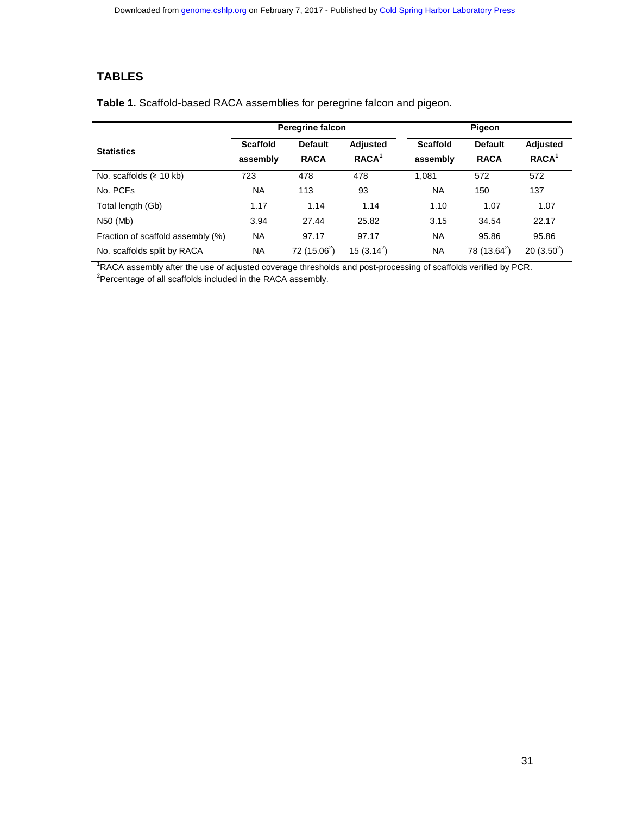### **TABLES**

|                                   | Peregrine falcon |                |                   | Pigeon          |                |                   |
|-----------------------------------|------------------|----------------|-------------------|-----------------|----------------|-------------------|
| <b>Statistics</b>                 | <b>Scaffold</b>  | <b>Default</b> | <b>Adjusted</b>   | <b>Scaffold</b> | <b>Default</b> | Adjusted          |
|                                   | assembly         | <b>RACA</b>    | RACA <sup>1</sup> | assembly        | <b>RACA</b>    | RACA <sup>1</sup> |
| No. scaffolds $(2 10 kb)$         | 723              | 478            | 478               | 1.081           | 572            | 572               |
| No. PCFs                          | <b>NA</b>        | 113            | 93                | <b>NA</b>       | 150            | 137               |
| Total length (Gb)                 | 1.17             | 1.14           | 1.14              | 1.10            | 1.07           | 1.07              |
| N50 (Mb)                          | 3.94             | 27.44          | 25.82             | 3.15            | 34.54          | 22.17             |
| Fraction of scaffold assembly (%) | <b>NA</b>        | 97.17          | 97.17             | <b>NA</b>       | 95.86          | 95.86             |
| No. scaffolds split by RACA       | <b>NA</b>        | 72 $(15.06^2)$ | 15 $(3.14^2)$     | <b>NA</b>       | 78 $(13.64^2)$ | 20 $(3.50^2)$     |

**Table 1.** Scaffold-based RACA assemblies for peregrine falcon and pigeon.

<sup>1</sup>RACA assembly after the use of adjusted coverage thresholds and post-processing of scaffolds verified by PCR.

<sup>2</sup>Percentage of all scaffolds included in the RACA assembly.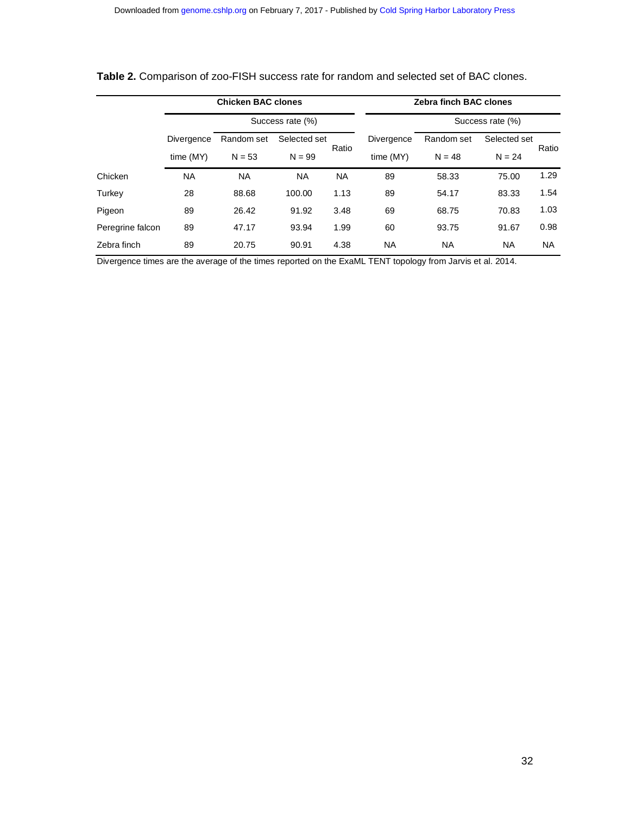|                  | <b>Chicken BAC clones</b> |                  |              | <b>Zebra finch BAC clones</b> |                  |            |              |           |
|------------------|---------------------------|------------------|--------------|-------------------------------|------------------|------------|--------------|-----------|
|                  |                           | Success rate (%) |              |                               | Success rate (%) |            |              |           |
|                  | <b>Divergence</b>         | Random set       | Selected set | Ratio                         | Divergence       | Random set | Selected set | Ratio     |
|                  | time (MY)                 | $N = 53$         | $N = 99$     |                               | time (MY)        | $N = 48$   | $N = 24$     |           |
| Chicken          | <b>NA</b>                 | <b>NA</b>        | <b>NA</b>    | <b>NA</b>                     | 89               | 58.33      | 75.00        | 1.29      |
| Turkey           | 28                        | 88.68            | 100.00       | 1.13                          | 89               | 54.17      | 83.33        | 1.54      |
| Pigeon           | 89                        | 26.42            | 91.92        | 3.48                          | 69               | 68.75      | 70.83        | 1.03      |
| Peregrine falcon | 89                        | 47.17            | 93.94        | 1.99                          | 60               | 93.75      | 91.67        | 0.98      |
| Zebra finch      | 89                        | 20.75            | 90.91        | 4.38                          | <b>NA</b>        | <b>NA</b>  | <b>NA</b>    | <b>NA</b> |

### **Table 2.** Comparison of zoo-FISH success rate for random and selected set of BAC clones.

Divergence times are the average of the times reported on the ExaML TENT topology from Jarvis et al. 2014.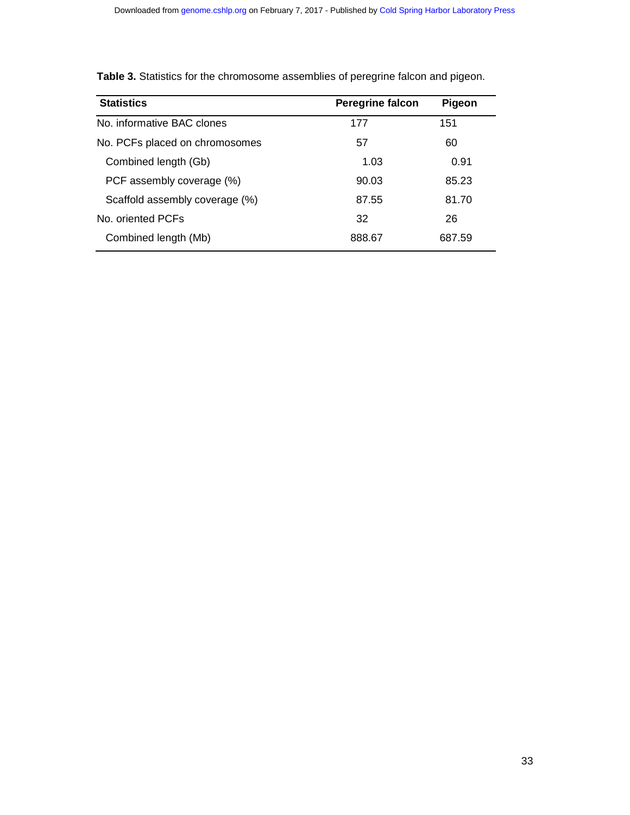| <b>Statistics</b>              | <b>Peregrine falcon</b> | Pigeon |
|--------------------------------|-------------------------|--------|
| No. informative BAC clones     | 177                     | 151    |
| No. PCFs placed on chromosomes | 57                      | 60     |
| Combined length (Gb)           | 1.03                    | 0.91   |
| PCF assembly coverage (%)      | 90.03                   | 85.23  |
| Scaffold assembly coverage (%) | 87.55                   | 81.70  |
| No. oriented PCFs              | 32                      | 26     |
| Combined length (Mb)           | 888.67                  | 687.59 |

**Table 3.** Statistics for the chromosome assemblies of peregrine falcon and pigeon.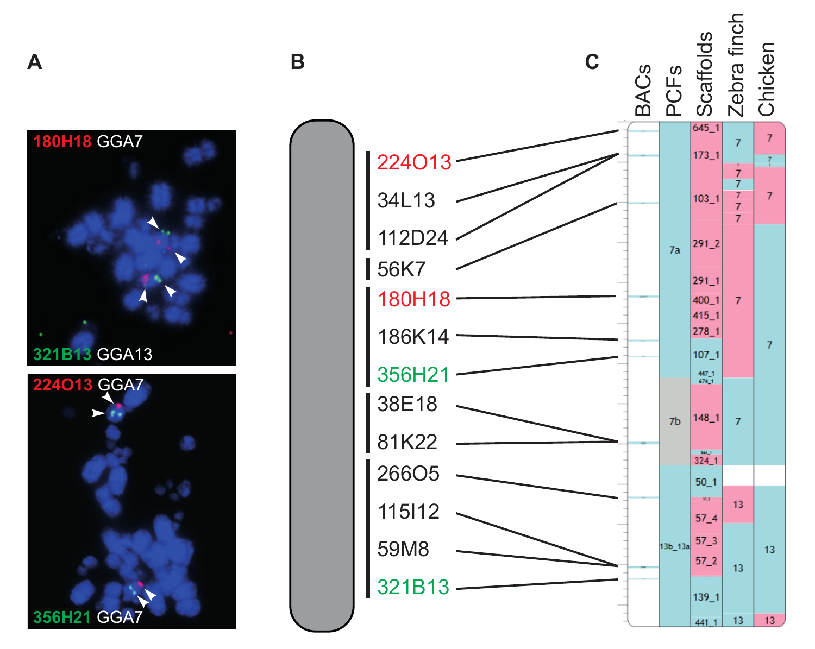

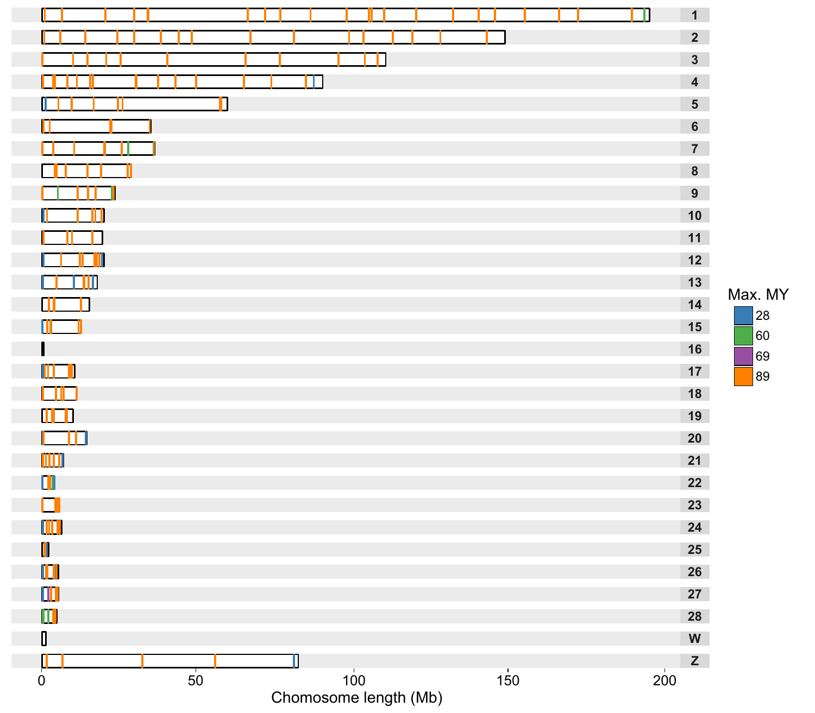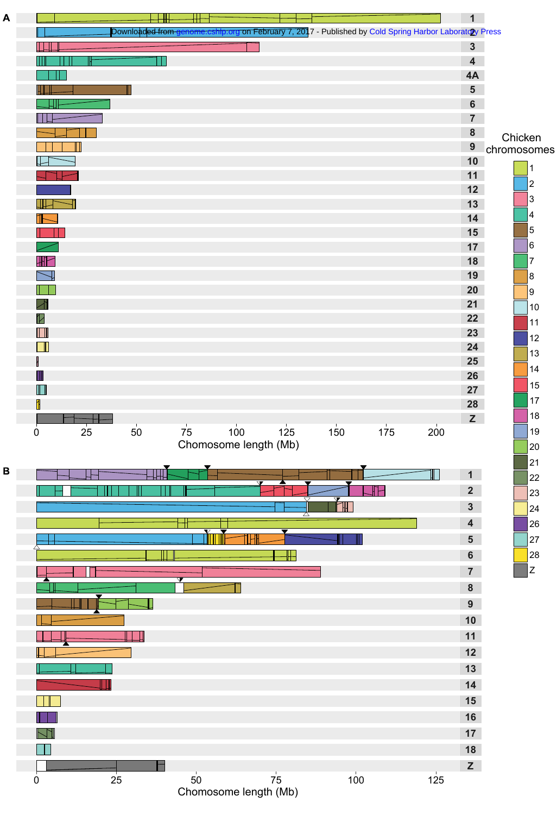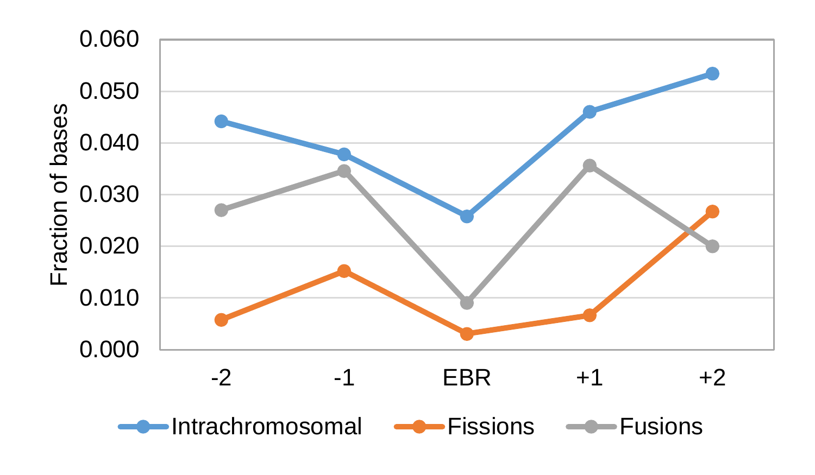